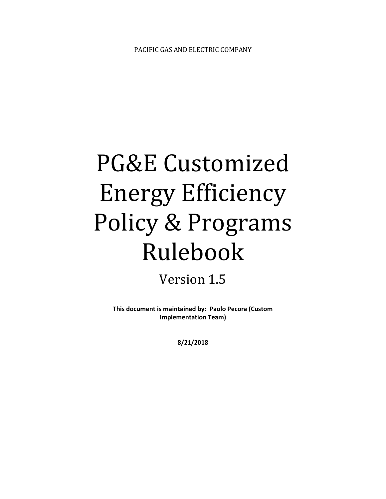# PG&E Customized Energy Efficiency Policy & Programs Rulebook

## Version 1.5

**This document is maintained by: Paolo Pecora (Custom Implementation Team)**

**8/21/2018**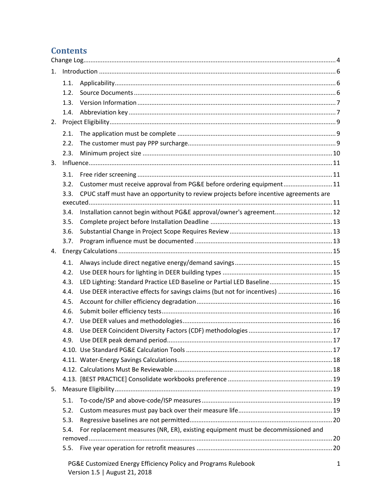## **Contents**

| $1_{-}$ |                                                                |                                                                                        |  |  |
|---------|----------------------------------------------------------------|----------------------------------------------------------------------------------------|--|--|
|         | 1.1.                                                           |                                                                                        |  |  |
|         | 1.2.                                                           |                                                                                        |  |  |
|         | 1.3.                                                           |                                                                                        |  |  |
|         | 1.4.                                                           |                                                                                        |  |  |
| 2.      |                                                                |                                                                                        |  |  |
|         | 2.1.                                                           |                                                                                        |  |  |
|         | 2.2.                                                           |                                                                                        |  |  |
|         | 2.3.                                                           |                                                                                        |  |  |
| 3.      |                                                                |                                                                                        |  |  |
|         | 3.1.                                                           |                                                                                        |  |  |
|         | 3.2.                                                           | Customer must receive approval from PG&E before ordering equipment 11                  |  |  |
|         | 3.3.                                                           | CPUC staff must have an opportunity to review projects before incentive agreements are |  |  |
|         |                                                                |                                                                                        |  |  |
|         | 3.4.                                                           | Installation cannot begin without PG&E approval/owner's agreement 12                   |  |  |
|         | 3.5.                                                           |                                                                                        |  |  |
|         | 3.6.                                                           |                                                                                        |  |  |
|         | 3.7.                                                           |                                                                                        |  |  |
| 4.      |                                                                |                                                                                        |  |  |
|         | 4.1.                                                           |                                                                                        |  |  |
|         | 4.2.                                                           |                                                                                        |  |  |
|         | 4.3.                                                           | LED Lighting: Standard Practice LED Baseline or Partial LED Baseline 15                |  |  |
|         | 4.4.                                                           | Use DEER interactive effects for savings claims (but not for incentives)  16           |  |  |
|         | 4.5.                                                           |                                                                                        |  |  |
|         | 4.6.                                                           |                                                                                        |  |  |
|         | 4.7.                                                           |                                                                                        |  |  |
|         | 4.8.                                                           |                                                                                        |  |  |
|         | 4.9.                                                           |                                                                                        |  |  |
|         |                                                                |                                                                                        |  |  |
|         |                                                                |                                                                                        |  |  |
|         |                                                                |                                                                                        |  |  |
|         |                                                                |                                                                                        |  |  |
| 5.      |                                                                |                                                                                        |  |  |
|         | 5.1.                                                           |                                                                                        |  |  |
|         | 5.2.                                                           |                                                                                        |  |  |
|         | 5.3.                                                           |                                                                                        |  |  |
|         | 5.4.                                                           | For replacement measures (NR, ER), existing equipment must be decommissioned and       |  |  |
|         |                                                                |                                                                                        |  |  |
|         | 5.5.                                                           |                                                                                        |  |  |
|         | PG&E Customized Energy Efficiency Policy and Programs Rulebook |                                                                                        |  |  |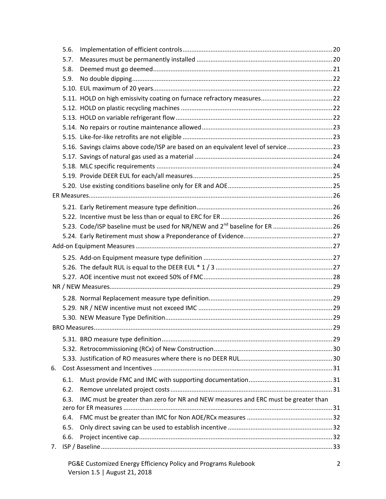|    | 5.6.         |                                                                                    |  |
|----|--------------|------------------------------------------------------------------------------------|--|
|    | 5.7.         |                                                                                    |  |
|    | 5.8.         |                                                                                    |  |
|    | 5.9.         |                                                                                    |  |
|    |              |                                                                                    |  |
|    |              |                                                                                    |  |
|    |              |                                                                                    |  |
|    |              |                                                                                    |  |
|    |              |                                                                                    |  |
|    |              |                                                                                    |  |
|    |              | 5.16. Savings claims above code/ISP are based on an equivalent level of service 23 |  |
|    |              |                                                                                    |  |
|    |              |                                                                                    |  |
|    |              |                                                                                    |  |
|    |              |                                                                                    |  |
|    |              |                                                                                    |  |
|    |              |                                                                                    |  |
|    |              |                                                                                    |  |
|    |              |                                                                                    |  |
|    |              |                                                                                    |  |
|    |              |                                                                                    |  |
|    |              |                                                                                    |  |
|    |              |                                                                                    |  |
|    |              |                                                                                    |  |
|    |              |                                                                                    |  |
|    |              |                                                                                    |  |
|    |              |                                                                                    |  |
|    |              |                                                                                    |  |
|    |              | 29                                                                                 |  |
|    |              |                                                                                    |  |
|    |              |                                                                                    |  |
|    |              |                                                                                    |  |
| 6. |              |                                                                                    |  |
|    |              |                                                                                    |  |
|    | 6.1.         |                                                                                    |  |
|    | 6.2.<br>6.3. |                                                                                    |  |
|    |              | IMC must be greater than zero for NR and NEW measures and ERC must be greater than |  |
|    |              |                                                                                    |  |
|    |              |                                                                                    |  |
|    | 6.4.         |                                                                                    |  |
|    | 6.5.         |                                                                                    |  |
| 7. | 6.6.         |                                                                                    |  |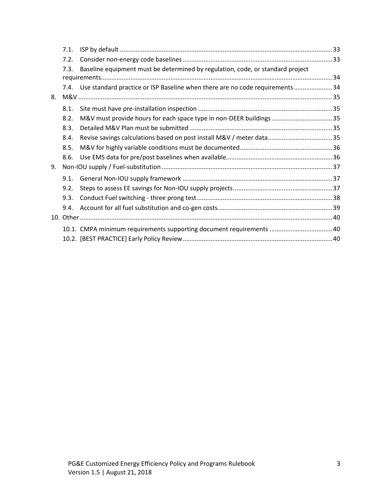|    | 7.1.                                                                                   |                                                                                    |  |  |
|----|----------------------------------------------------------------------------------------|------------------------------------------------------------------------------------|--|--|
|    | 7.2.                                                                                   |                                                                                    |  |  |
|    | Baseline equipment must be determined by regulation, code, or standard project<br>7.3. |                                                                                    |  |  |
|    |                                                                                        |                                                                                    |  |  |
|    |                                                                                        | 7.4. Use standard practice or ISP Baseline when there are no code requirements  34 |  |  |
| 8. |                                                                                        |                                                                                    |  |  |
|    | 8.1.                                                                                   |                                                                                    |  |  |
|    | 8.2.                                                                                   | M&V must provide hours for each space type in non-DEER buildings35                 |  |  |
|    | 8.3.                                                                                   |                                                                                    |  |  |
|    | 8.4.                                                                                   |                                                                                    |  |  |
|    | 8.5.                                                                                   |                                                                                    |  |  |
|    | 8.6.                                                                                   |                                                                                    |  |  |
| 9. |                                                                                        |                                                                                    |  |  |
|    | 9.1.                                                                                   |                                                                                    |  |  |
|    | 9.2.                                                                                   |                                                                                    |  |  |
|    | 9.3.                                                                                   |                                                                                    |  |  |
|    | 9.4.                                                                                   |                                                                                    |  |  |
|    |                                                                                        |                                                                                    |  |  |
|    |                                                                                        | 10.1. CMPA minimum requirements supporting document requirements  40               |  |  |
|    |                                                                                        |                                                                                    |  |  |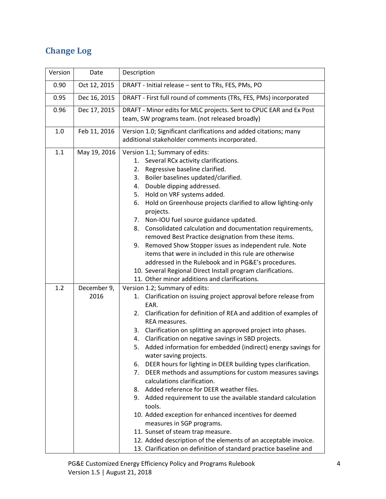## <span id="page-4-0"></span>**Change Log**

| Version | Date                | Description                                                                                                                                                                                                                                                                                                                                                                                                                                                                                                                                                                                                                                                                                                                                                                                                                                                                                                                                                                                              |
|---------|---------------------|----------------------------------------------------------------------------------------------------------------------------------------------------------------------------------------------------------------------------------------------------------------------------------------------------------------------------------------------------------------------------------------------------------------------------------------------------------------------------------------------------------------------------------------------------------------------------------------------------------------------------------------------------------------------------------------------------------------------------------------------------------------------------------------------------------------------------------------------------------------------------------------------------------------------------------------------------------------------------------------------------------|
| 0.90    | Oct 12, 2015        | DRAFT - Initial release - sent to TRs, FES, PMs, PO                                                                                                                                                                                                                                                                                                                                                                                                                                                                                                                                                                                                                                                                                                                                                                                                                                                                                                                                                      |
| 0.95    | Dec 16, 2015        | DRAFT - First full round of comments (TRs, FES, PMs) incorporated                                                                                                                                                                                                                                                                                                                                                                                                                                                                                                                                                                                                                                                                                                                                                                                                                                                                                                                                        |
| 0.96    | Dec 17, 2015        | DRAFT - Minor edits for MLC projects. Sent to CPUC EAR and Ex Post<br>team, SW programs team. (not released broadly)                                                                                                                                                                                                                                                                                                                                                                                                                                                                                                                                                                                                                                                                                                                                                                                                                                                                                     |
| 1.0     | Feb 11, 2016        | Version 1.0; Significant clarifications and added citations; many<br>additional stakeholder comments incorporated.                                                                                                                                                                                                                                                                                                                                                                                                                                                                                                                                                                                                                                                                                                                                                                                                                                                                                       |
| 1.1     | May 19, 2016        | Version 1.1; Summary of edits:<br>1. Several RCx activity clarifications.<br>Regressive baseline clarified.<br>2.<br>Boiler baselines updated/clarified.<br>3.<br>Double dipping addressed.<br>4.<br>5. Hold on VRF systems added.<br>Hold on Greenhouse projects clarified to allow lighting-only<br>6.<br>projects.<br>Non-IOU fuel source guidance updated.<br>7.<br>Consolidated calculation and documentation requirements,<br>8.<br>removed Best Practice designation from these items.<br>Removed Show Stopper issues as independent rule. Note<br>9.<br>items that were in included in this rule are otherwise<br>addressed in the Rulebook and in PG&E's procedures.<br>10. Several Regional Direct Install program clarifications.<br>11. Other minor additions and clarifications.                                                                                                                                                                                                            |
| 1.2     | December 9,<br>2016 | Version 1.2; Summary of edits:<br>Clarification on issuing project approval before release from<br>1.<br>EAR.<br>Clarification for definition of REA and addition of examples of<br>2.<br>REA measures.<br>Clarification on splitting an approved project into phases.<br>3.<br>4. Clarification on negative savings in SBD projects.<br>Added information for embedded (indirect) energy savings for<br>5.<br>water saving projects.<br>DEER hours for lighting in DEER building types clarification.<br>6.<br>7. DEER methods and assumptions for custom measures savings<br>calculations clarification.<br>8. Added reference for DEER weather files.<br>9. Added requirement to use the available standard calculation<br>tools.<br>10. Added exception for enhanced incentives for deemed<br>measures in SGP programs.<br>11. Sunset of steam trap measure.<br>12. Added description of the elements of an acceptable invoice.<br>13. Clarification on definition of standard practice baseline and |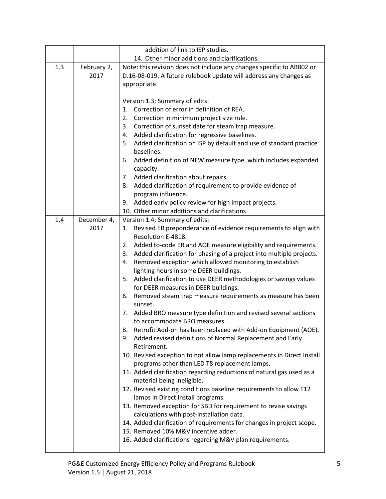|     |             | addition of link to ISP studies.                                                                                                     |
|-----|-------------|--------------------------------------------------------------------------------------------------------------------------------------|
|     |             | 14. Other minor additions and clarifications.                                                                                        |
| 1.3 | February 2, | Note: this revision does not include any changes specific to AB802 or                                                                |
|     | 2017        | D.16-08-019. A future rulebook update will address any changes as                                                                    |
|     |             | appropriate.                                                                                                                         |
|     |             |                                                                                                                                      |
|     |             | Version 1.3; Summary of edits:<br>1. Correction of error in definition of REA.                                                       |
|     |             | 2. Correction in minimum project size rule.                                                                                          |
|     |             | 3. Correction of sunset date for steam trap measure.                                                                                 |
|     |             | 4. Added clarification for regressive baselines.                                                                                     |
|     |             | 5. Added clarification on ISP by default and use of standard practice                                                                |
|     |             | baselines.                                                                                                                           |
|     |             | 6. Added definition of NEW measure type, which includes expanded<br>capacity.                                                        |
|     |             | 7. Added clarification about repairs.                                                                                                |
|     |             | 8. Added clarification of requirement to provide evidence of                                                                         |
|     |             | program influence.                                                                                                                   |
|     |             | 9. Added early policy review for high impact projects.                                                                               |
|     |             | 10. Other minor additions and clarifications.                                                                                        |
| 1.4 | December 4, | Version 1.4; Summary of edits:                                                                                                       |
|     | 2017        | Revised ER preponderance of evidence requirements to align with<br>1.<br>Resolution E-4818.                                          |
|     |             | 2. Added to-code ER and AOE measure eligibility and requirements.                                                                    |
|     |             | Added clarification for phasing of a project into multiple projects.<br>3.                                                           |
|     |             | Removed exception which allowed monitoring to establish<br>4.                                                                        |
|     |             | lighting hours in some DEER buildings.                                                                                               |
|     |             | 5. Added clarification to use DEER methodologies or savings values                                                                   |
|     |             | for DEER measures in DEER buildings.                                                                                                 |
|     |             | Removed steam trap measure requirements as measure has been<br>6.<br>sunset.                                                         |
|     |             | Added BRO measure type definition and revised several sections<br>7.                                                                 |
|     |             | to accommodate BRO measures.                                                                                                         |
|     |             | Retrofit Add-on has been replaced with Add-on Equipment (AOE).<br>8.<br>9. Added revised definitions of Normal Replacement and Early |
|     |             | Retirement.                                                                                                                          |
|     |             | 10. Revised exception to not allow lamp replacements in Direct Install                                                               |
|     |             | programs other than LED T8 replacement lamps.                                                                                        |
|     |             | 11. Added clarification regarding reductions of natural gas used as a<br>material being ineligible.                                  |
|     |             | 12. Revised existing conditions baseline requirements to allow T12                                                                   |
|     |             | lamps in Direct Install programs.                                                                                                    |
|     |             | 13. Removed exception for SBD for requirement to revise savings                                                                      |
|     |             | calculations with post-installation data.                                                                                            |
|     |             | 14. Added clarification of requirements for changes in project scope.<br>15. Removed 10% M&V incentive adder.                        |
|     |             | 16. Added clarifications regarding M&V plan requirements.                                                                            |
|     |             |                                                                                                                                      |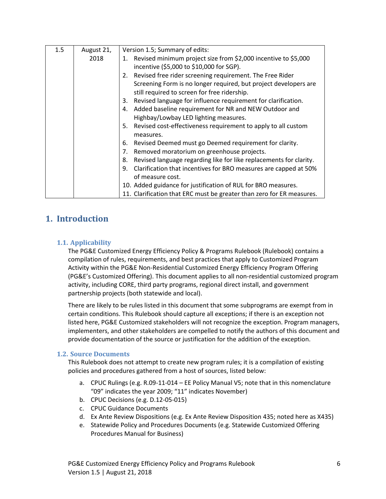| 1.5 | August 21, | Version 1.5; Summary of edits:                                           |
|-----|------------|--------------------------------------------------------------------------|
|     | 2018       | 1. Revised minimum project size from \$2,000 incentive to \$5,000        |
|     |            | incentive (\$5,000 to \$10,000 for SGP).                                 |
|     |            | 2. Revised free rider screening requirement. The Free Rider              |
|     |            | Screening Form is no longer required, but project developers are         |
|     |            | still required to screen for free ridership.                             |
|     |            | Revised language for influence requirement for clarification.<br>3.      |
|     |            | 4. Added baseline requirement for NR and NEW Outdoor and                 |
|     |            | Highbay/Lowbay LED lighting measures.                                    |
|     |            | 5. Revised cost-effectiveness requirement to apply to all custom         |
|     |            | measures.                                                                |
|     |            | Revised Deemed must go Deemed requirement for clarity.<br>6.             |
|     |            | 7. Removed moratorium on greenhouse projects.                            |
|     |            | Revised language regarding like for like replacements for clarity.<br>8. |
|     |            | 9. Clarification that incentives for BRO measures are capped at 50%      |
|     |            | of measure cost.                                                         |
|     |            | 10. Added guidance for justification of RUL for BRO measures.            |
|     |            | 11. Clarification that ERC must be greater than zero for ER measures.    |

## <span id="page-6-0"></span>**1. Introduction**

#### <span id="page-6-1"></span>**1.1. Applicability**

The PG&E Customized Energy Efficiency Policy & Programs Rulebook (Rulebook) contains a compilation of rules, requirements, and best practices that apply to Customized Program Activity within the PG&E Non-Residential Customized Energy Efficiency Program Offering (PG&E's Customized Offering). This document applies to all non-residential customized program activity, including CORE, third party programs, regional direct install, and government partnership projects (both statewide and local).

There are likely to be rules listed in this document that some subprograms are exempt from in certain conditions. This Rulebook should capture all exceptions; if there is an exception not listed here, PG&E Customized stakeholders will not recognize the exception. Program managers, implementers, and other stakeholders are compelled to notify the authors of this document and provide documentation of the source or justification for the addition of the exception.

#### <span id="page-6-2"></span>**1.2. Source Documents**

This Rulebook does not attempt to create new program rules; it is a compilation of existing policies and procedures gathered from a host of sources, listed below:

- a. CPUC Rulings (e.g. R.09-11-014 EE Policy Manual V5; note that in this nomenclature "09" indicates the year 2009; "11" indicates November)
- b. CPUC Decisions (e.g. D.12-05-015)
- c. CPUC Guidance Documents
- d. Ex Ante Review Dispositions (e.g. Ex Ante Review Disposition 435; noted here as X435)
- e. Statewide Policy and Procedures Documents (e.g. Statewide Customized Offering Procedures Manual for Business)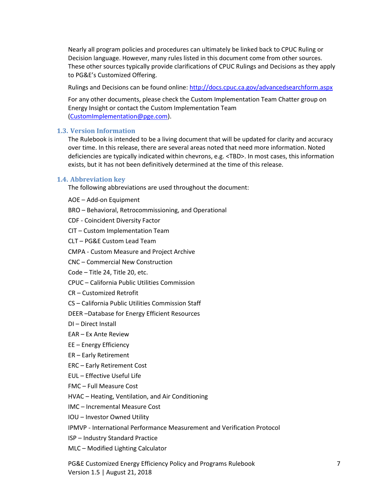Nearly all program policies and procedures can ultimately be linked back to CPUC Ruling or Decision language. However, many rules listed in this document come from other sources. These other sources typically provide clarifications of CPUC Rulings and Decisions as they apply to PG&E's Customized Offering.

Rulings and Decisions can be found online: <http://docs.cpuc.ca.gov/advancedsearchform.aspx>

For any other documents, please check the Custom Implementation Team Chatter group on Energy Insight or contact the Custom Implementation Team [\(CustomImplementation@pge.com\)](file:///C:/Users/R7CK/Documents/00-Custom%20Lead%20Team/Rulebook/v1.0/CustomImplementation@pge.com).

#### <span id="page-7-0"></span>**1.3. Version Information**

The Rulebook is intended to be a living document that will be updated for clarity and accuracy over time. In this release, there are several areas noted that need more information. Noted deficiencies are typically indicated within chevrons, e.g. <TBD>. In most cases, this information exists, but it has not been definitively determined at the time of this release.

#### <span id="page-7-1"></span>**1.4. Abbreviation key**

The following abbreviations are used throughout the document:

- AOE Add-on Equipment
- BRO Behavioral, Retrocommissioning, and Operational
- CDF Coincident Diversity Factor
- CIT Custom Implementation Team
- CLT PG&E Custom Lead Team
- CMPA Custom Measure and Project Archive
- CNC Commercial New Construction
- Code Title 24, Title 20, etc.
- CPUC California Public Utilities Commission
- CR Customized Retrofit
- CS California Public Utilities Commission Staff
- DEER –Database for Energy Efficient Resources
- DI Direct Install
- EAR Ex Ante Review
- EE Energy Efficiency
- ER Early Retirement
- ERC Early Retirement Cost
- EUL Effective Useful Life
- FMC Full Measure Cost
- HVAC Heating, Ventilation, and Air Conditioning
- IMC Incremental Measure Cost
- IOU Investor Owned Utility
- IPMVP International Performance Measurement and Verification Protocol
- ISP Industry Standard Practice
- MLC Modified Lighting Calculator

PG&E Customized Energy Efficiency Policy and Programs Rulebook 7 Version 1.5 | August 21, 2018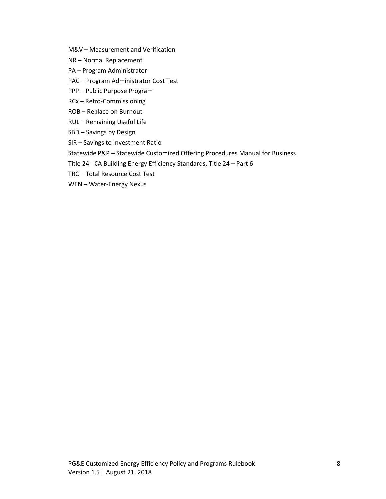- M&V Measurement and Verification
- NR Normal Replacement
- PA Program Administrator
- PAC Program Administrator Cost Test
- PPP Public Purpose Program
- RCx Retro-Commissioning
- ROB Replace on Burnout
- RUL Remaining Useful Life
- SBD Savings by Design
- SIR Savings to Investment Ratio
- Statewide P&P Statewide Customized Offering Procedures Manual for Business
- Title 24 CA Building Energy Efficiency Standards, Title 24 Part 6
- TRC Total Resource Cost Test
- WEN Water-Energy Nexus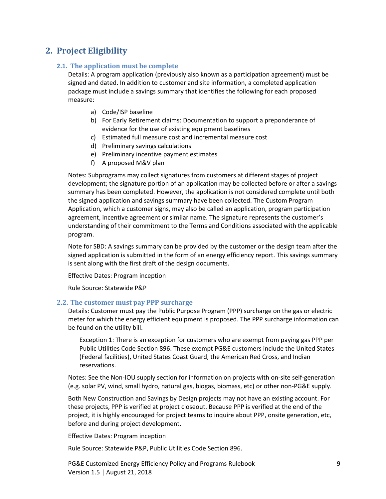## <span id="page-9-1"></span><span id="page-9-0"></span>**2. Project Eligibility**

#### **2.1. The application must be complete**

Details: A program application (previously also known as a participation agreement) must be signed and dated. In addition to customer and site information, a completed application package must include a savings summary that identifies the following for each proposed measure:

- a) Code/ISP baseline
- b) For Early Retirement claims: Documentation to support a preponderance of evidence for the use of existing equipment baselines
- c) Estimated full measure cost and incremental measure cost
- d) Preliminary savings calculations
- e) Preliminary incentive payment estimates
- f) A proposed M&V plan

Notes: Subprograms may collect signatures from customers at different stages of project development; the signature portion of an application may be collected before or after a savings summary has been completed. However, the application is not considered complete until both the signed application and savings summary have been collected. The Custom Program Application, which a customer signs, may also be called an application, program participation agreement, incentive agreement or similar name. The signature represents the customer's understanding of their commitment to the Terms and Conditions associated with the applicable program.

Note for SBD: A savings summary can be provided by the customer or the design team after the signed application is submitted in the form of an energy efficiency report. This savings summary is sent along with the first draft of the design documents.

Effective Dates: Program inception

Rule Source: Statewide P&P

#### <span id="page-9-2"></span>**2.2. The customer must pay PPP surcharge**

Details: Customer must pay the Public Purpose Program (PPP) surcharge on the gas or electric meter for which the energy efficient equipment is proposed. The PPP surcharge information can be found on the utility bill.

Exception 1: There is an exception for customers who are exempt from paying gas PPP per Public Utilities Code Section 896. These exempt PG&E customers include the United States (Federal facilities), United States Coast Guard, the American Red Cross, and Indian reservations.

Notes: See the Non-IOU supply section for information on projects with on-site self-generation (e.g. solar PV, wind, small hydro, natural gas, biogas, biomass, etc) or other non-PG&E supply.

Both New Construction and Savings by Design projects may not have an existing account. For these projects, PPP is verified at project closeout. Because PPP is verified at the end of the project, it is highly encouraged for project teams to inquire about PPP, onsite generation, etc, before and during project development.

Effective Dates: Program inception

Rule Source: Statewide P&P, Public Utilities Code Section 896.

PG&E Customized Energy Efficiency Policy and Programs Rulebook 9 Version 1.5 | August 21, 2018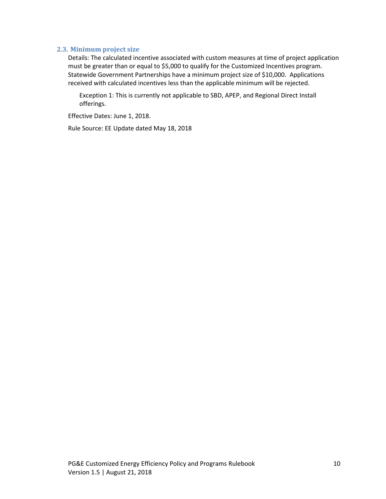#### <span id="page-10-0"></span>**2.3. Minimum project size**

Details: The calculated incentive associated with custom measures at time of project application must be greater than or equal to \$5,000 to qualify for the Customized Incentives program. Statewide Government Partnerships have a minimum project size of \$10,000. Applications received with calculated incentives less than the applicable minimum will be rejected.

Exception 1: This is currently not applicable to SBD, APEP, and Regional Direct Install offerings.

Effective Dates: June 1, 2018.

Rule Source: EE Update dated May 18, 2018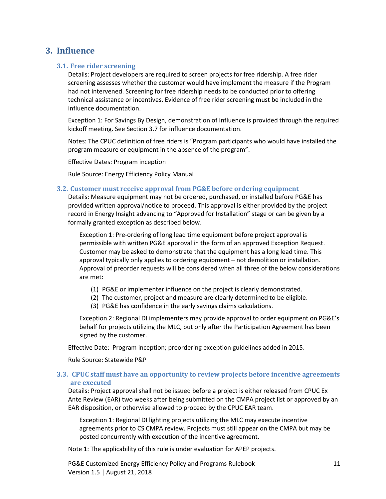### <span id="page-11-1"></span><span id="page-11-0"></span>**3. Influence**

#### **3.1. Free rider screening**

Details: Project developers are required to screen projects for free ridership. A free rider screening assesses whether the customer would have implement the measure if the Program had not intervened. Screening for free ridership needs to be conducted prior to offering technical assistance or incentives. Evidence of free rider screening must be included in the influence documentation.

Exception 1: For Savings By Design, demonstration of Influence is provided through the required kickoff meeting. See Section 3.7 for influence documentation.

Notes: The CPUC definition of free riders is "Program participants who would have installed the program measure or equipment in the absence of the program".

Effective Dates: Program inception

Rule Source: Energy Efficiency Policy Manual

#### <span id="page-11-2"></span>**3.2. Customer must receive approval from PG&E before ordering equipment**

Details: Measure equipment may not be ordered, purchased, or installed before PG&E has provided written approval/notice to proceed. This approval is either provided by the project record in Energy Insight advancing to "Approved for Installation" stage or can be given by a formally granted exception as described below.

Exception 1: Pre-ordering of long lead time equipment before project approval is permissible with written PG&E approval in the form of an approved Exception Request. Customer may be asked to demonstrate that the equipment has a long lead time. This approval typically only applies to ordering equipment – not demolition or installation. Approval of preorder requests will be considered when all three of the below considerations are met:

- (1) PG&E or implementer influence on the project is clearly demonstrated.
- (2) The customer, project and measure are clearly determined to be eligible.
- (3) PG&E has confidence in the early savings claims calculations.

Exception 2: Regional DI implementers may provide approval to order equipment on PG&E's behalf for projects utilizing the MLC, but only after the Participation Agreement has been signed by the customer.

Effective Date: Program inception; preordering exception guidelines added in 2015.

<span id="page-11-3"></span>Rule Source: Statewide P&P

#### **3.3. CPUC staff must have an opportunity to review projects before incentive agreements are executed**

Details: Project approval shall not be issued before a project is either released from CPUC Ex Ante Review (EAR) two weeks after being submitted on the CMPA project list or approved by an EAR disposition, or otherwise allowed to proceed by the CPUC EAR team.

Exception 1: Regional DI lighting projects utilizing the MLC may execute incentive agreements prior to CS CMPA review. Projects must still appear on the CMPA but may be posted concurrently with execution of the incentive agreement.

Note 1: The applicability of this rule is under evaluation for APEP projects.

PG&E Customized Energy Efficiency Policy and Programs Rulebook 11 11 Version 1.5 | August 21, 2018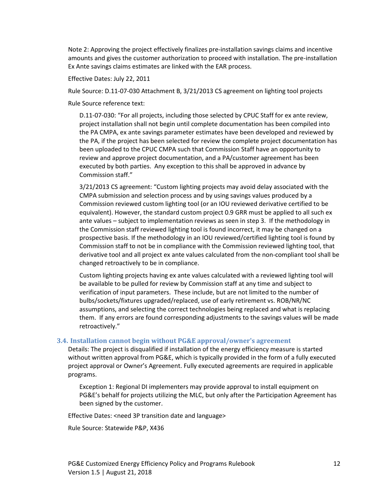Note 2: Approving the project effectively finalizes pre-installation savings claims and incentive amounts and gives the customer authorization to proceed with installation. The pre-installation Ex Ante savings claims estimates are linked with the EAR process.

Effective Dates: July 22, 2011

Rule Source: D.11-07-030 Attachment B, 3/21/2013 CS agreement on lighting tool projects

Rule Source reference text:

D.11-07-030: "For all projects, including those selected by CPUC Staff for ex ante review, project installation shall not begin until complete documentation has been compiled into the PA CMPA, ex ante savings parameter estimates have been developed and reviewed by the PA, if the project has been selected for review the complete project documentation has been uploaded to the CPUC CMPA such that Commission Staff have an opportunity to review and approve project documentation, and a PA/customer agreement has been executed by both parties. Any exception to this shall be approved in advance by Commission staff."

3/21/2013 CS agreement: "Custom lighting projects may avoid delay associated with the CMPA submission and selection process and by using savings values produced by a Commission reviewed custom lighting tool (or an IOU reviewed derivative certified to be equivalent). However, the standard custom project 0.9 GRR must be applied to all such ex ante values – subject to implementation reviews as seen in step 3. If the methodology in the Commission staff reviewed lighting tool is found incorrect, it may be changed on a prospective basis. If the methodology in an IOU reviewed/certified lighting tool is found by Commission staff to not be in compliance with the Commission reviewed lighting tool, that derivative tool and all project ex ante values calculated from the non-compliant tool shall be changed retroactively to be in compliance.

Custom lighting projects having ex ante values calculated with a reviewed lighting tool will be available to be pulled for review by Commission staff at any time and subject to verification of input parameters. These include, but are not limited to the number of bulbs/sockets/fixtures upgraded/replaced, use of early retirement vs. ROB/NR/NC assumptions, and selecting the correct technologies being replaced and what is replacing them. If any errors are found corresponding adjustments to the savings values will be made retroactively."

#### <span id="page-12-0"></span>**3.4. Installation cannot begin without PG&E approval/owner's agreement**

Details: The project is disqualified if installation of the energy efficiency measure is started without written approval from PG&E, which is typically provided in the form of a fully executed project approval or Owner's Agreement. Fully executed agreements are required in applicable programs.

Exception 1: Regional DI implementers may provide approval to install equipment on PG&E's behalf for projects utilizing the MLC, but only after the Participation Agreement has been signed by the customer.

Effective Dates: <need 3P transition date and language>

Rule Source: Statewide P&P, X436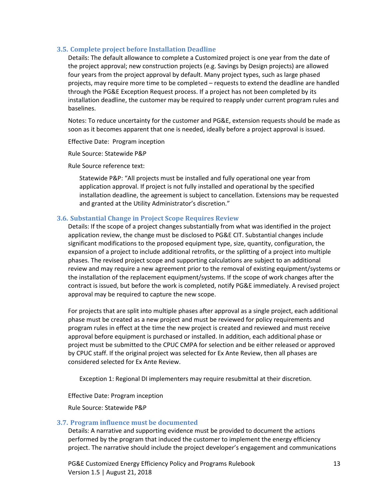#### <span id="page-13-0"></span>**3.5. Complete project before Installation Deadline**

Details: The default allowance to complete a Customized project is one year from the date of the project approval; new construction projects (e.g. Savings by Design projects) are allowed four years from the project approval by default. Many project types, such as large phased projects, may require more time to be completed – requests to extend the deadline are handled through the PG&E Exception Request process. If a project has not been completed by its installation deadline, the customer may be required to reapply under current program rules and baselines.

Notes: To reduce uncertainty for the customer and PG&E, extension requests should be made as soon as it becomes apparent that one is needed, ideally before a project approval is issued.

Effective Date: Program inception

Rule Source: Statewide P&P

Rule Source reference text:

Statewide P&P: "All projects must be installed and fully operational one year from application approval. If project is not fully installed and operational by the specified installation deadline, the agreement is subject to cancellation. Extensions may be requested and granted at the Utility Administrator's discretion."

#### <span id="page-13-1"></span>**3.6. Substantial Change in Project Scope Requires Review**

Details: If the scope of a project changes substantially from what was identified in the project application review, the change must be disclosed to PG&E CIT. Substantial changes include significant modifications to the proposed equipment type, size, quantity, configuration, the expansion of a project to include additional retrofits, or the splitting of a project into multiple phases. The revised project scope and supporting calculations are subject to an additional review and may require a new agreement prior to the removal of existing equipment/systems or the installation of the replacement equipment/systems. If the scope of work changes after the contract is issued, but before the work is completed, notify PG&E immediately. A revised project approval may be required to capture the new scope.

For projects that are split into multiple phases after approval as a single project, each additional phase must be created as a new project and must be reviewed for policy requirements and program rules in effect at the time the new project is created and reviewed and must receive approval before equipment is purchased or installed. In addition, each additional phase or project must be submitted to the CPUC CMPA for selection and be either released or approved by CPUC staff. If the original project was selected for Ex Ante Review, then all phases are considered selected for Ex Ante Review.

Exception 1: Regional DI implementers may require resubmittal at their discretion.

Effective Date: Program inception

Rule Source: Statewide P&P

#### <span id="page-13-2"></span>**3.7. Program influence must be documented**

Details: A narrative and supporting evidence must be provided to document the actions performed by the program that induced the customer to implement the energy efficiency project. The narrative should include the project developer's engagement and communications

PG&E Customized Energy Efficiency Policy and Programs Rulebook 13 Version 1.5 | August 21, 2018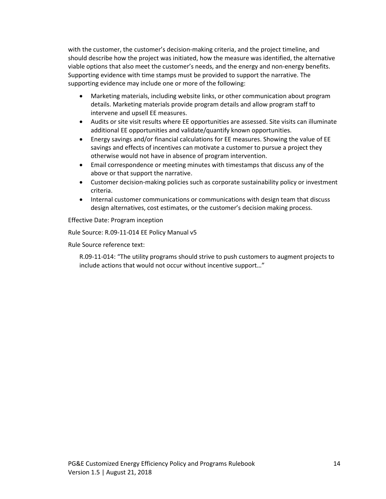with the customer, the customer's decision-making criteria, and the project timeline, and should describe how the project was initiated, how the measure was identified, the alternative viable options that also meet the customer's needs, and the energy and non-energy benefits. Supporting evidence with time stamps must be provided to support the narrative. The supporting evidence may include one or more of the following:

- Marketing materials, including website links, or other communication about program details. Marketing materials provide program details and allow program staff to intervene and upsell EE measures.
- Audits or site visit results where EE opportunities are assessed. Site visits can illuminate additional EE opportunities and validate/quantify known opportunities.
- Energy savings and/or financial calculations for EE measures. Showing the value of EE savings and effects of incentives can motivate a customer to pursue a project they otherwise would not have in absence of program intervention.
- Email correspondence or meeting minutes with timestamps that discuss any of the above or that support the narrative.
- Customer decision-making policies such as corporate sustainability policy or investment criteria.
- Internal customer communications or communications with design team that discuss design alternatives, cost estimates, or the customer's decision making process.

Effective Date: Program inception

Rule Source: R.09-11-014 EE Policy Manual v5

Rule Source reference text:

R.09-11-014: "The utility programs should strive to push customers to augment projects to include actions that would not occur without incentive support…"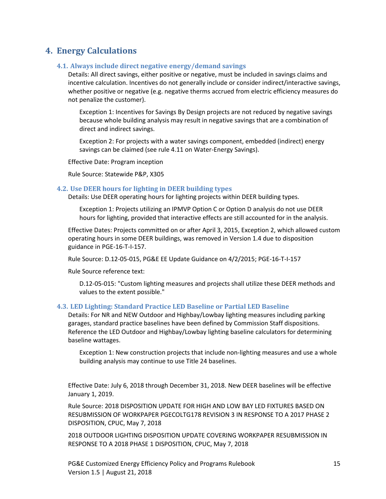## <span id="page-15-1"></span><span id="page-15-0"></span>**4. Energy Calculations**

#### **4.1. Always include direct negative energy/demand savings**

Details: All direct savings, either positive or negative, must be included in savings claims and incentive calculation. Incentives do not generally include or consider indirect/interactive savings, whether positive or negative (e.g. negative therms accrued from electric efficiency measures do not penalize the customer).

Exception 1: Incentives for Savings By Design projects are not reduced by negative savings because whole building analysis may result in negative savings that are a combination of direct and indirect savings.

Exception 2: For projects with a water savings component, embedded (indirect) energy savings can be claimed (see rule 4.11 on Water-Energy Savings).

Effective Date: Program inception

Rule Source: Statewide P&P, X305

#### <span id="page-15-2"></span>**4.2. Use DEER hours for lighting in DEER building types**

Details: Use DEER operating hours for lighting projects within DEER building types.

Exception 1: Projects utilizing an IPMVP Option C or Option D analysis do not use DEER hours for lighting, provided that interactive effects are still accounted for in the analysis.

Effective Dates: Projects committed on or after April 3, 2015, Exception 2, which allowed custom operating hours in some DEER buildings, was removed in Version 1.4 due to disposition guidance in PGE-16-T-I-157.

Rule Source: D.12-05-015, PG&E EE Update Guidance on 4/2/2015; PGE-16-T-I-157

Rule Source reference text:

D.12-05-015: "Custom lighting measures and projects shall utilize these DEER methods and values to the extent possible."

#### <span id="page-15-3"></span>**4.3. LED Lighting: Standard Practice LED Baseline or Partial LED Baseline**

Details: For NR and NEW Outdoor and Highbay/Lowbay lighting measures including parking garages, standard practice baselines have been defined by Commission Staff dispositions. Reference the LED Outdoor and Highbay/Lowbay lighting baseline calculators for determining baseline wattages.

Exception 1: New construction projects that include non-lighting measures and use a whole building analysis may continue to use Title 24 baselines.

Effective Date: July 6, 2018 through December 31, 2018. New DEER baselines will be effective January 1, 2019.

Rule Source: 2018 DISPOSITION UPDATE FOR HIGH AND LOW BAY LED FIXTURES BASED ON RESUBMISSION OF WORKPAPER PGECOLTG178 REVISION 3 IN RESPONSE TO A 2017 PHASE 2 DISPOSITION, CPUC, May 7, 2018

2018 OUTDOOR LIGHTING DISPOSITION UPDATE COVERING WORKPAPER RESUBMISSION IN RESPONSE TO A 2018 PHASE 1 DISPOSITION, CPUC, May 7, 2018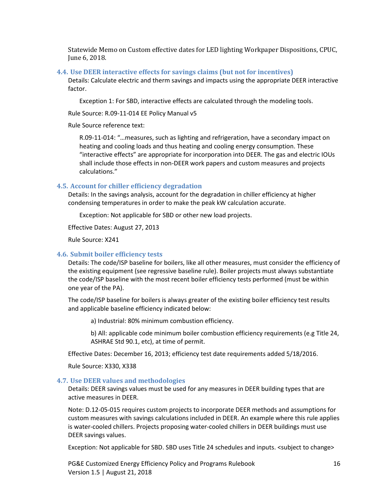Statewide Memo on Custom effective dates for LED lighting Workpaper Dispositions, CPUC, June 6, 2018.

#### <span id="page-16-0"></span>**4.4. Use DEER interactive effects for savings claims (but not for incentives)**

Details: Calculate electric and therm savings and impacts using the appropriate DEER interactive factor.

Exception 1: For SBD, interactive effects are calculated through the modeling tools.

Rule Source: R.09-11-014 EE Policy Manual v5

Rule Source reference text:

R.09-11-014: "…measures, such as lighting and refrigeration, have a secondary impact on heating and cooling loads and thus heating and cooling energy consumption. These "interactive effects" are appropriate for incorporation into DEER. The gas and electric IOUs shall include those effects in non-DEER work papers and custom measures and projects calculations."

#### <span id="page-16-1"></span>**4.5. Account for chiller efficiency degradation**

Details: In the savings analysis, account for the degradation in chiller efficiency at higher condensing temperatures in order to make the peak kW calculation accurate.

Exception: Not applicable for SBD or other new load projects.

Effective Dates: August 27, 2013

Rule Source: X241

#### <span id="page-16-2"></span>**4.6. Submit boiler efficiency tests**

Details: The code/ISP baseline for boilers, like all other measures, must consider the efficiency of the existing equipment (see regressive baseline rule). Boiler projects must always substantiate the code/ISP baseline with the most recent boiler efficiency tests performed (must be within one year of the PA).

The code/ISP baseline for boilers is always greater of the existing boiler efficiency test results and applicable baseline efficiency indicated below:

a) Industrial: 80% minimum combustion efficiency.

b) All: applicable code minimum boiler combustion efficiency requirements (e.g Title 24, ASHRAE Std 90.1, etc), at time of permit.

Effective Dates: December 16, 2013; efficiency test date requirements added 5/18/2016.

Rule Source: X330, X338

#### <span id="page-16-3"></span>**4.7. Use DEER values and methodologies**

Details: DEER savings values must be used for any measures in DEER building types that are active measures in DEER.

Note: D.12-05-015 requires custom projects to incorporate DEER methods and assumptions for custom measures with savings calculations included in DEER. An example where this rule applies is water-cooled chillers. Projects proposing water-cooled chillers in DEER buildings must use DEER savings values.

Exception: Not applicable for SBD. SBD uses Title 24 schedules and inputs. <subject to change>

PG&E Customized Energy Efficiency Policy and Programs Rulebook 16 Version 1.5 | August 21, 2018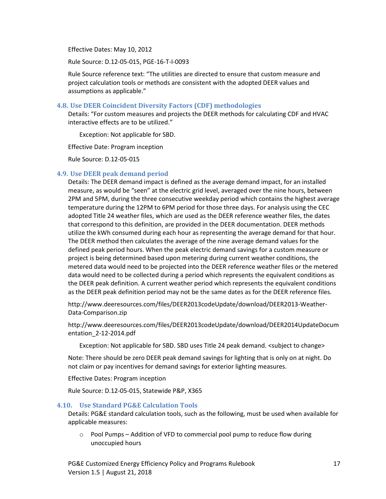Effective Dates: May 10, 2012

Rule Source: D.12-05-015, PGE-16-T-I-0093

Rule Source reference text: "The utilities are directed to ensure that custom measure and project calculation tools or methods are consistent with the adopted DEER values and assumptions as applicable."

#### <span id="page-17-0"></span>**4.8. Use DEER Coincident Diversity Factors (CDF) methodologies**

Details: "For custom measures and projects the DEER methods for calculating CDF and HVAC interactive effects are to be utilized."

Exception: Not applicable for SBD.

Effective Date: Program inception

Rule Source: D.12-05-015

#### <span id="page-17-1"></span>**4.9. Use DEER peak demand period**

Details: The DEER demand impact is defined as the average demand impact, for an installed measure, as would be "seen" at the electric grid level, averaged over the nine hours, between 2PM and 5PM, during the three consecutive weekday period which contains the highest average temperature during the 12PM to 6PM period for those three days. For analysis using the CEC adopted Title 24 weather files, which are used as the DEER reference weather files, the dates that correspond to this definition, are provided in the DEER documentation. DEER methods utilize the kWh consumed during each hour as representing the average demand for that hour. The DEER method then calculates the average of the nine average demand values for the defined peak period hours. When the peak electric demand savings for a custom measure or project is being determined based upon metering during current weather conditions, the metered data would need to be projected into the DEER reference weather files or the metered data would need to be collected during a period which represents the equivalent conditions as the DEER peak definition. A current weather period which represents the equivalent conditions as the DEER peak definition period may not be the same dates as for the DEER reference files.

http://www.deeresources.com/files/DEER2013codeUpdate/download/DEER2013-Weather-Data-Comparison.zip

http://www.deeresources.com/files/DEER2013codeUpdate/download/DEER2014UpdateDocum entation\_2-12-2014.pdf

Exception: Not applicable for SBD. SBD uses Title 24 peak demand. <subject to change>

Note: There should be zero DEER peak demand savings for lighting that is only on at night. Do not claim or pay incentives for demand savings for exterior lighting measures.

Effective Dates: Program inception

Rule Source: D.12-05-015, Statewide P&P, X365

#### <span id="page-17-2"></span>**4.10. Use Standard PG&E Calculation Tools**

Details: PG&E standard calculation tools, such as the following, must be used when available for applicable measures:

 $\circ$  Pool Pumps – Addition of VFD to commercial pool pump to reduce flow during unoccupied hours

PG&E Customized Energy Efficiency Policy and Programs Rulebook 17 Version 1.5 | August 21, 2018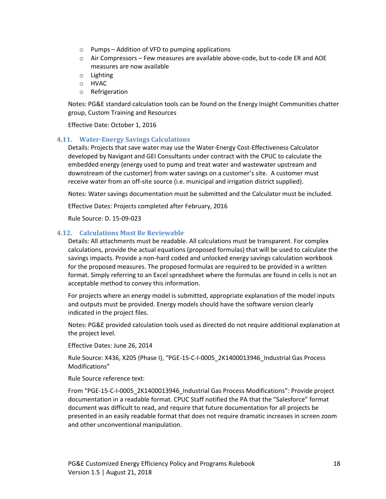- $\circ$  Pumps Addition of VFD to pumping applications
- $\circ$  Air Compressors Few measures are available above-code, but to-code ER and AOE measures are now available
- o Lighting
- o HVAC
- o Refrigeration

Notes: PG&E standard calculation tools can be found on the Energy Insight Communities chatter group, Custom Training and Resources

Effective Date: October 1, 2016

#### <span id="page-18-0"></span>**4.11. Water-Energy Savings Calculations**

Details: Projects that save water may use the Water-Energy Cost-Effectiveness Calculator developed by Navigant and GEI Consultants under contract with the CPUC to calculate the embedded energy (energy used to pump and treat water and wastewater upstream and downstream of the customer) from water savings on a customer's site. A customer must receive water from an off-site source (i.e. municipal and irrigation district supplied).

Notes: Water savings documentation must be submitted and the Calculator must be included.

Effective Dates: Projects completed after February, 2016

Rule Source: D. 15-09-023

#### <span id="page-18-1"></span>**4.12. Calculations Must Be Reviewable**

Details: All attachments must be readable. All calculations must be transparent. For complex calculations, provide the actual equations (proposed formulas) that will be used to calculate the savings impacts. Provide a non-hard coded and unlocked energy savings calculation workbook for the proposed measures. The proposed formulas are required to be provided in a written format. Simply referring to an Excel spreadsheet where the formulas are found in cells is not an acceptable method to convey this information.

For projects where an energy model is submitted, appropriate explanation of the model inputs and outputs must be provided. Energy models should have the software version clearly indicated in the project files.

Notes: PG&E provided calculation tools used as directed do not require additional explanation at the project level.

Effective Dates: June 26, 2014

Rule Source: X436, X205 (Phase I), "PGE-15-C-I-0005\_2K1400013946\_Industrial Gas Process Modifications"

Rule Source reference text:

From "PGE-15-C-I-0005\_2K1400013946\_Industrial Gas Process Modifications": Provide project documentation in a readable format. CPUC Staff notified the PA that the "Salesforce" format document was difficult to read, and require that future documentation for all projects be presented in an easily readable format that does not require dramatic increases in screen zoom and other unconventional manipulation.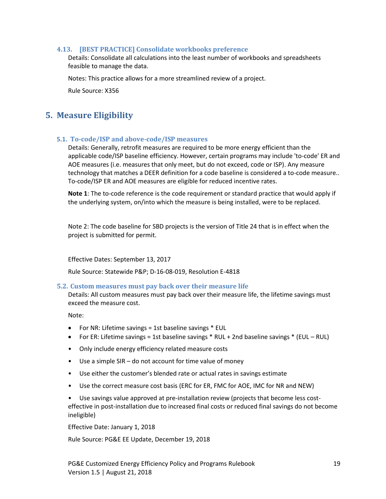#### <span id="page-19-0"></span>**4.13. [BEST PRACTICE] Consolidate workbooks preference**

Details: Consolidate all calculations into the least number of workbooks and spreadsheets feasible to manage the data.

Notes: This practice allows for a more streamlined review of a project.

Rule Source: X356

## <span id="page-19-1"></span>**5. Measure Eligibility**

#### <span id="page-19-2"></span>**5.1. To-code/ISP and above-code/ISP measures**

Details: Generally, retrofit measures are required to be more energy efficient than the applicable code/ISP baseline efficiency. However, certain programs may include 'to-code' ER and AOE measures (i.e. measures that only meet, but do not exceed, code or ISP). Any measure technology that matches a DEER definition for a code baseline is considered a to-code measure.. To-code/ISP ER and AOE measures are eligible for reduced incentive rates.

**Note 1**: The to-code reference is the code requirement or standard practice that would apply if the underlying system, on/into which the measure is being installed, were to be replaced.

Note 2: The code baseline for SBD projects is the version of Title 24 that is in effect when the project is submitted for permit.

Effective Dates: September 13, 2017

Rule Source: Statewide P&P; D-16-08-019, Resolution E-4818

#### <span id="page-19-3"></span>**5.2. Custom measures must pay back over their measure life**

Details: All custom measures must pay back over their measure life, the lifetime savings must exceed the measure cost.

Note:

- For NR: Lifetime savings = 1st baseline savings \* EUL
- For ER: Lifetime savings = 1st baseline savings \* RUL + 2nd baseline savings \* (EUL RUL)
- Only include energy efficiency related measure costs
- Use a simple SIR do not account for time value of money
- Use either the customer's blended rate or actual rates in savings estimate
- Use the correct measure cost basis (ERC for ER, FMC for AOE, IMC for NR and NEW)

• Use savings value approved at pre-installation review (projects that become less costeffective in post-installation due to increased final costs or reduced final savings do not become ineligible)

Effective Date: January 1, 2018

Rule Source: PG&E EE Update, December 19, 2018

PG&E Customized Energy Efficiency Policy and Programs Rulebook 19 Version 1.5 | August 21, 2018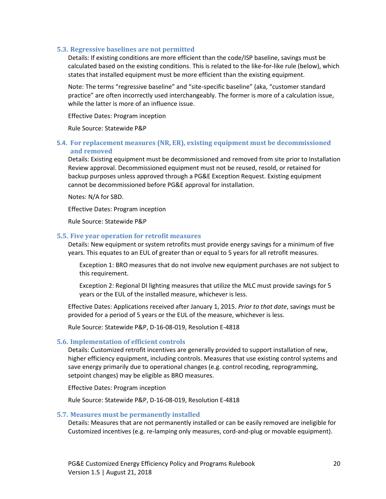#### <span id="page-20-0"></span>**5.3. Regressive baselines are not permitted**

Details: If existing conditions are more efficient than the code/ISP baseline, savings must be calculated based on the existing conditions. This is related to the like-for-like rule (below), which states that installed equipment must be more efficient than the existing equipment.

Note: The terms "regressive baseline" and "site-specific baseline" (aka, "customer standard practice" are often incorrectly used interchangeably. The former is more of a calculation issue, while the latter is more of an influence issue.

Effective Dates: Program inception

Rule Source: Statewide P&P

#### <span id="page-20-1"></span>**5.4. For replacement measures (NR, ER), existing equipment must be decommissioned and removed**

Details: Existing equipment must be decommissioned and removed from site prior to Installation Review approval. Decommissioned equipment must not be reused, resold, or retained for backup purposes unless approved through a PG&E Exception Request. Existing equipment cannot be decommissioned before PG&E approval for installation.

Notes: N/A for SBD.

Effective Dates: Program inception

Rule Source: Statewide P&P

#### <span id="page-20-2"></span>**5.5. Five year operation for retrofit measures**

Details: New equipment or system retrofits must provide energy savings for a minimum of five years. This equates to an EUL of greater than or equal to 5 years for all retrofit measures.

Exception 1: BRO measures that do not involve new equipment purchases are not subject to this requirement.

Exception 2: Regional DI lighting measures that utilize the MLC must provide savings for 5 years or the EUL of the installed measure, whichever is less.

Effective Dates: Applications received after January 1, 2015. *Prior to that date*, savings must be provided for a period of 5 years or the EUL of the measure, whichever is less.

Rule Source: Statewide P&P, D-16-08-019, Resolution E-4818

#### <span id="page-20-3"></span>**5.6. Implementation of efficient controls**

Details: Customized retrofit incentives are generally provided to support installation of new, higher efficiency equipment, including controls. Measures that use existing control systems and save energy primarily due to operational changes (e.g. control recoding, reprogramming, setpoint changes) may be eligible as BRO measures.

Effective Dates: Program inception

Rule Source: Statewide P&P, D-16-08-019, Resolution E-4818

#### <span id="page-20-4"></span>**5.7. Measures must be permanently installed**

Details: Measures that are not permanently installed or can be easily removed are ineligible for Customized incentives (e.g. re-lamping only measures, cord-and-plug or movable equipment).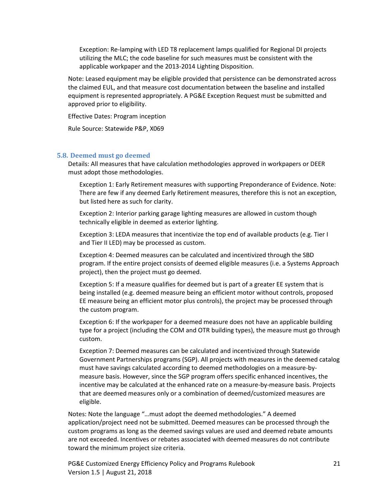Exception: Re-lamping with LED T8 replacement lamps qualified for Regional DI projects utilizing the MLC; the code baseline for such measures must be consistent with the applicable workpaper and the 2013-2014 Lighting Disposition.

Note: Leased equipment may be eligible provided that persistence can be demonstrated across the claimed EUL, and that measure cost documentation between the baseline and installed equipment is represented appropriately. A PG&E Exception Request must be submitted and approved prior to eligibility.

Effective Dates: Program inception

Rule Source: Statewide P&P, X069

#### <span id="page-21-0"></span>**5.8. Deemed must go deemed**

Details: All measures that have calculation methodologies approved in workpapers or DEER must adopt those methodologies.

Exception 1: Early Retirement measures with supporting Preponderance of Evidence. Note: There are few if any deemed Early Retirement measures, therefore this is not an exception, but listed here as such for clarity.

Exception 2: Interior parking garage lighting measures are allowed in custom though technically eligible in deemed as exterior lighting.

Exception 3: LEDA measures that incentivize the top end of available products (e.g. Tier I and Tier II LED) may be processed as custom.

Exception 4: Deemed measures can be calculated and incentivized through the SBD program. If the entire project consists of deemed eligible measures (i.e. a Systems Approach project), then the project must go deemed.

Exception 5: If a measure qualifies for deemed but is part of a greater EE system that is being installed (e.g. deemed measure being an efficient motor without controls, proposed EE measure being an efficient motor plus controls), the project may be processed through the custom program.

Exception 6: If the workpaper for a deemed measure does not have an applicable building type for a project (including the COM and OTR building types), the measure must go through custom.

Exception 7: Deemed measures can be calculated and incentivized through Statewide Government Partnerships programs (SGP). All projects with measures in the deemed catalog must have savings calculated according to deemed methodologies on a measure-bymeasure basis. However, since the SGP program offers specific enhanced incentives, the incentive may be calculated at the enhanced rate on a measure-by-measure basis. Projects that are deemed measures only or a combination of deemed/customized measures are eligible.

Notes: Note the language "…must adopt the deemed methodologies." A deemed application/project need not be submitted. Deemed measures can be processed through the custom programs as long as the deemed savings values are used and deemed rebate amounts are not exceeded. Incentives or rebates associated with deemed measures do not contribute toward the minimum project size criteria.

PG&E Customized Energy Efficiency Policy and Programs Rulebook 21 Version 1.5 | August 21, 2018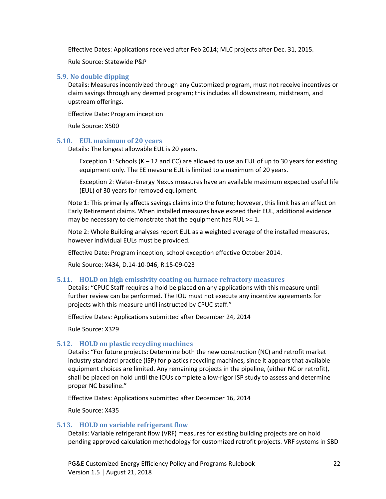Effective Dates: Applications received after Feb 2014; MLC projects after Dec. 31, 2015.

Rule Source: Statewide P&P

#### <span id="page-22-0"></span>**5.9. No double dipping**

Details: Measures incentivized through any Customized program, must not receive incentives or claim savings through any deemed program; this includes all downstream, midstream, and upstream offerings.

Effective Date: Program inception

Rule Source: X500

#### <span id="page-22-1"></span>**5.10. EUL maximum of 20 years**

Details: The longest allowable EUL is 20 years.

Exception 1: Schools (K – 12 and CC) are allowed to use an EUL of up to 30 years for existing equipment only. The EE measure EUL is limited to a maximum of 20 years.

Exception 2: Water-Energy Nexus measures have an available maximum expected useful life (EUL) of 30 years for removed equipment.

Note 1: This primarily affects savings claims into the future; however, this limit has an effect on Early Retirement claims. When installed measures have exceed their EUL, additional evidence may be necessary to demonstrate that the equipment has RUL >= 1.

Note 2: Whole Building analyses report EUL as a weighted average of the installed measures, however individual EULs must be provided.

Effective Date: Program inception, school exception effective October 2014.

Rule Source: X434, D.14-10-046, R.15-09-023

#### <span id="page-22-2"></span>**5.11. HOLD on high emissivity coating on furnace refractory measures**

Details: "CPUC Staff requires a hold be placed on any applications with this measure until further review can be performed. The IOU must not execute any incentive agreements for projects with this measure until instructed by CPUC staff."

Effective Dates: Applications submitted after December 24, 2014

Rule Source: X329

#### <span id="page-22-3"></span>**5.12. HOLD on plastic recycling machines**

Details: "For future projects: Determine both the new construction (NC) and retrofit market industry standard practice (ISP) for plastics recycling machines, since it appears that available equipment choices are limited. Any remaining projects in the pipeline, (either NC or retrofit), shall be placed on hold until the IOUs complete a low-rigor ISP study to assess and determine proper NC baseline."

Effective Dates: Applications submitted after December 16, 2014

Rule Source: X435

#### <span id="page-22-4"></span>**5.13. HOLD on variable refrigerant flow**

Details: Variable refrigerant flow (VRF) measures for existing building projects are on hold pending approved calculation methodology for customized retrofit projects. VRF systems in SBD

PG&E Customized Energy Efficiency Policy and Programs Rulebook 22 Version 1.5 | August 21, 2018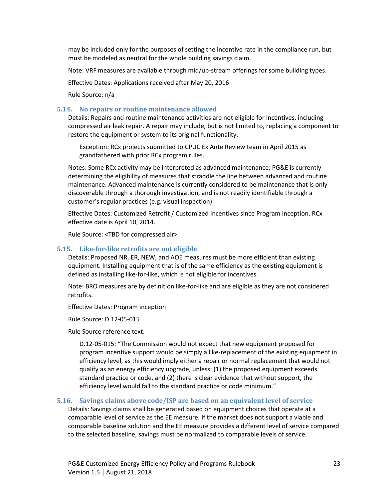may be included only for the purposes of setting the incentive rate in the compliance run, but must be modeled as neutral for the whole building savings claim.

Note: VRF measures are available through mid/up-stream offerings for some building types.

Effective Dates: Applications received after May 20, 2016

Rule Source: n/a

#### <span id="page-23-0"></span>**5.14. No repairs or routine maintenance allowed**

Details: Repairs and routine maintenance activities are not eligible for incentives, including compressed air leak repair. A repair may include, but is not limited to, replacing a component to restore the equipment or system to its original functionality.

Exception: RCx projects submitted to CPUC Ex Ante Review team in April 2015 as grandfathered with prior RCx program rules.

Notes: Some RCx activity may be interpreted as advanced maintenance; PG&E is currently determining the eligibility of measures that straddle the line between advanced and routine maintenance. Advanced maintenance is currently considered to be maintenance that is only discoverable through a thorough investigation, and is not readily identifiable through a customer's regular practices (e.g. visual inspection).

Effective Dates: Customized Retrofit / Customized Incentives since Program inception. RCx effective date is April 10, 2014.

Rule Source: <TBD for compressed air>

#### <span id="page-23-1"></span>**5.15. Like-for-like retrofits are not eligible**

Details: Proposed NR, ER, NEW, and AOE measures must be more efficient than existing equipment. Installing equipment that is of the same efficiency as the existing equipment is defined as installing like-for-like, which is not eligible for incentives.

Note: BRO measures are by definition like-for-like and are eligible as they are not considered retrofits.

Effective Dates: Program inception

Rule Source: D.12-05-015

Rule Source reference text:

D.12-05-015: "The Commission would not expect that new equipment proposed for program incentive support would be simply a like-replacement of the existing equipment in efficiency level, as this would imply either a repair or normal replacement that would not qualify as an energy efficiency upgrade, unless: (1) the proposed equipment exceeds standard practice or code, and (2) there is clear evidence that without support, the efficiency level would fall to the standard practice or code minimum."

#### <span id="page-23-2"></span>**5.16. Savings claims above code/ISP are based on an equivalent level of service**

Details: Savings claims shall be generated based on equipment choices that operate at a comparable level of service as the EE measure. If the market does not support a viable and comparable baseline solution and the EE measure provides a different level of service compared to the selected baseline, savings must be normalized to comparable levels of service.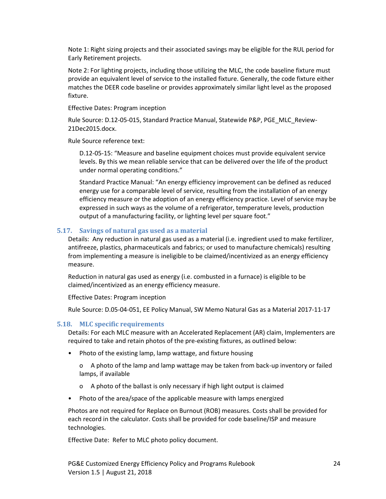Note 1: Right sizing projects and their associated savings may be eligible for the RUL period for Early Retirement projects.

Note 2: For lighting projects, including those utilizing the MLC, the code baseline fixture must provide an equivalent level of service to the installed fixture. Generally, the code fixture either matches the DEER code baseline or provides approximately similar light level as the proposed fixture.

Effective Dates: Program inception

Rule Source: D.12-05-015, Standard Practice Manual, Statewide P&P, PGE\_MLC\_Review-21Dec2015.docx.

Rule Source reference text:

D.12-05-15: "Measure and baseline equipment choices must provide equivalent service levels. By this we mean reliable service that can be delivered over the life of the product under normal operating conditions."

Standard Practice Manual: "An energy efficiency improvement can be defined as reduced energy use for a comparable level of service, resulting from the installation of an energy efficiency measure or the adoption of an energy efficiency practice. Level of service may be expressed in such ways as the volume of a refrigerator, temperature levels, production output of a manufacturing facility, or lighting level per square foot."

#### <span id="page-24-0"></span>**5.17. Savings of natural gas used as a material**

Details: Any reduction in natural gas used as a material (i.e. ingredient used to make fertilizer, antifreeze, plastics, pharmaceuticals and fabrics; or used to manufacture chemicals) resulting from implementing a measure is ineligible to be claimed/incentivized as an energy efficiency measure.

Reduction in natural gas used as energy (i.e. combusted in a furnace) is eligible to be claimed/incentivized as an energy efficiency measure.

Effective Dates: Program inception

Rule Source: D.05-04-051, EE Policy Manual, SW Memo Natural Gas as a Material 2017-11-17

#### <span id="page-24-1"></span>**5.18. MLC specific requirements**

Details: For each MLC measure with an Accelerated Replacement (AR) claim, Implementers are required to take and retain photos of the pre-existing fixtures, as outlined below:

• Photo of the existing lamp, lamp wattage, and fixture housing

o A photo of the lamp and lamp wattage may be taken from back-up inventory or failed lamps, if available

- o A photo of the ballast is only necessary if high light output is claimed
- Photo of the area/space of the applicable measure with lamps energized

Photos are not required for Replace on Burnout (ROB) measures. Costs shall be provided for each record in the calculator. Costs shall be provided for code baseline/ISP and measure technologies.

Effective Date: Refer to MLC photo policy document.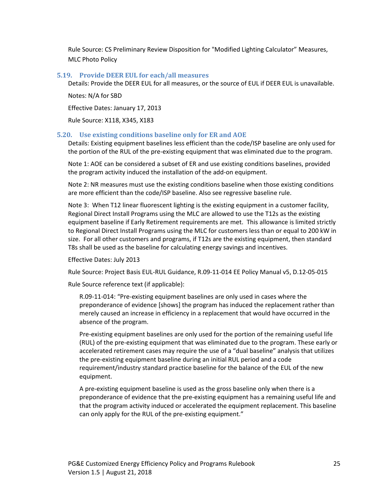Rule Source: CS Preliminary Review Disposition for "Modified Lighting Calculator" Measures, MLC Photo Policy

#### <span id="page-25-0"></span>**5.19. Provide DEER EUL for each/all measures**

Details: Provide the DEER EUL for all measures, or the source of EUL if DEER EUL is unavailable.

Notes: N/A for SBD

Effective Dates: January 17, 2013

Rule Source: X118, X345, X183

#### <span id="page-25-1"></span>**5.20. Use existing conditions baseline only for ER and AOE**

Details: Existing equipment baselines less efficient than the code/ISP baseline are only used for the portion of the RUL of the pre-existing equipment that was eliminated due to the program.

Note 1: AOE can be considered a subset of ER and use existing conditions baselines, provided the program activity induced the installation of the add-on equipment.

Note 2: NR measures must use the existing conditions baseline when those existing conditions are more efficient than the code/ISP baseline. Also see regressive baseline rule.

Note 3: When T12 linear fluorescent lighting is the existing equipment in a customer facility, Regional Direct Install Programs using the MLC are allowed to use the T12s as the existing equipment baseline if Early Retirement requirements are met. This allowance is limited strictly to Regional Direct Install Programs using the MLC for customers less than or equal to 200 kW in size. For all other customers and programs, if T12s are the existing equipment, then standard T8s shall be used as the baseline for calculating energy savings and incentives.

Effective Dates: July 2013

Rule Source: Project Basis EUL-RUL Guidance, R.09-11-014 EE Policy Manual v5, D.12-05-015

Rule Source reference text (if applicable):

R.09-11-014: "Pre-existing equipment baselines are only used in cases where the preponderance of evidence [shows] the program has induced the replacement rather than merely caused an increase in efficiency in a replacement that would have occurred in the absence of the program.

Pre-existing equipment baselines are only used for the portion of the remaining useful life (RUL) of the pre-existing equipment that was eliminated due to the program. These early or accelerated retirement cases may require the use of a "dual baseline" analysis that utilizes the pre-existing equipment baseline during an initial RUL period and a code requirement/industry standard practice baseline for the balance of the EUL of the new equipment.

A pre-existing equipment baseline is used as the gross baseline only when there is a preponderance of evidence that the pre-existing equipment has a remaining useful life and that the program activity induced or accelerated the equipment replacement. This baseline can only apply for the RUL of the pre-existing equipment."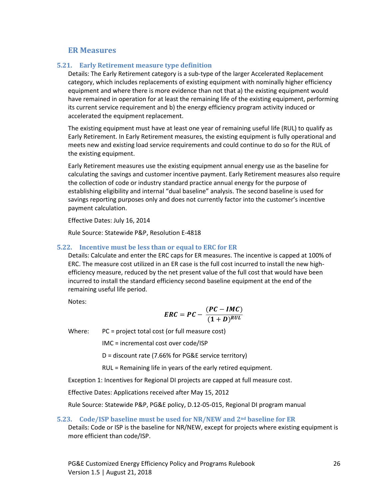#### **ER Measures**

#### <span id="page-26-1"></span><span id="page-26-0"></span>**5.21. Early Retirement measure type definition**

Details: The Early Retirement category is a sub-type of the larger Accelerated Replacement category, which includes replacements of existing equipment with nominally higher efficiency equipment and where there is more evidence than not that a) the existing equipment would have remained in operation for at least the remaining life of the existing equipment, performing its current service requirement and b) the energy efficiency program activity induced or accelerated the equipment replacement.

The existing equipment must have at least one year of remaining useful life (RUL) to qualify as Early Retirement. In Early Retirement measures, the existing equipment is fully operational and meets new and existing load service requirements and could continue to do so for the RUL of the existing equipment.

Early Retirement measures use the existing equipment annual energy use as the baseline for calculating the savings and customer incentive payment. Early Retirement measures also require the collection of code or industry standard practice annual energy for the purpose of establishing eligibility and internal "dual baseline" analysis. The second baseline is used for savings reporting purposes only and does not currently factor into the customer's incentive payment calculation.

Effective Dates: July 16, 2014

Rule Source: Statewide P&P, Resolution E-4818

#### <span id="page-26-2"></span>**5.22. Incentive must be less than or equal to ERC for ER**

Details: Calculate and enter the ERC caps for ER measures. The incentive is capped at 100% of ERC. The measure cost utilized in an ER case is the full cost incurred to install the new highefficiency measure, reduced by the net present value of the full cost that would have been incurred to install the standard efficiency second baseline equipment at the end of the remaining useful life period.

Notes:

$$
ERC = PC - \frac{(PC - IMC)}{(1+D)^{RUL}}
$$

Where: PC = project total cost (or full measure cost)

IMC = incremental cost over code/ISP

D = discount rate (7.66% for PG&E service territory)

RUL = Remaining life in years of the early retired equipment.

Exception 1: Incentives for Regional DI projects are capped at full measure cost.

Effective Dates: Applications received after May 15, 2012

Rule Source: Statewide P&P, PG&E policy, D.12-05-015, Regional DI program manual

#### <span id="page-26-3"></span>**5.23. Code/ISP baseline must be used for NR/NEW and 2nd baseline for ER**

Details: Code or ISP is the baseline for NR/NEW, except for projects where existing equipment is more efficient than code/ISP.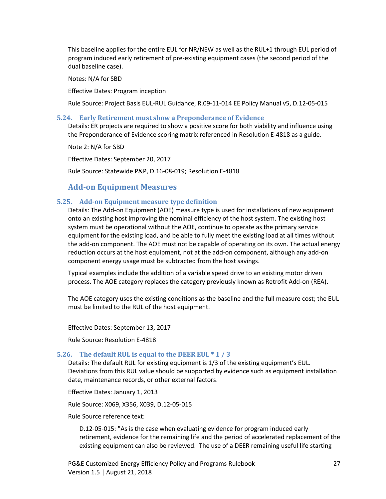This baseline applies for the entire EUL for NR/NEW as well as the RUL+1 through EUL period of program induced early retirement of pre-existing equipment cases (the second period of the dual baseline case).

Notes: N/A for SBD

Effective Dates: Program inception

Rule Source: Project Basis EUL-RUL Guidance, R.09-11-014 EE Policy Manual v5, D.12-05-015

#### <span id="page-27-0"></span>**5.24. Early Retirement must show a Preponderance of Evidence**

Details: ER projects are required to show a positive score for both viability and influence using the Preponderance of Evidence scoring matrix referenced in Resolution E-4818 as a guide.

Note 2: N/A for SBD

Effective Dates: September 20, 2017

Rule Source: Statewide P&P, D.16-08-019; Resolution E-4818

#### **Add-on Equipment Measures**

#### <span id="page-27-2"></span><span id="page-27-1"></span>**5.25. Add-on Equipment measure type definition**

Details: The Add-on Equipment (AOE) measure type is used for installations of new equipment onto an existing host improving the nominal efficiency of the host system. The existing host system must be operational without the AOE, continue to operate as the primary service equipment for the existing load, and be able to fully meet the existing load at all times without the add-on component. The AOE must not be capable of operating on its own. The actual energy reduction occurs at the host equipment, not at the add-on component, although any add-on component energy usage must be subtracted from the host savings.

Typical examples include the addition of a variable speed drive to an existing motor driven process. The AOE category replaces the category previously known as Retrofit Add-on (REA).

The AOE category uses the existing conditions as the baseline and the full measure cost; the EUL must be limited to the RUL of the host equipment.

Effective Dates: September 13, 2017

Rule Source: Resolution E-4818

#### <span id="page-27-3"></span>**5.26. The default RUL is equal to the DEER EUL \* 1 / 3**

Details: The default RUL for existing equipment is 1/3 of the existing equipment's EUL. Deviations from this RUL value should be supported by evidence such as equipment installation date, maintenance records, or other external factors.

Effective Dates: January 1, 2013

Rule Source: X069, X356, X039, D.12-05-015

Rule Source reference text:

D.12-05-015: "As is the case when evaluating evidence for program induced early retirement, evidence for the remaining life and the period of accelerated replacement of the existing equipment can also be reviewed. The use of a DEER remaining useful life starting

PG&E Customized Energy Efficiency Policy and Programs Rulebook 27 Version 1.5 | August 21, 2018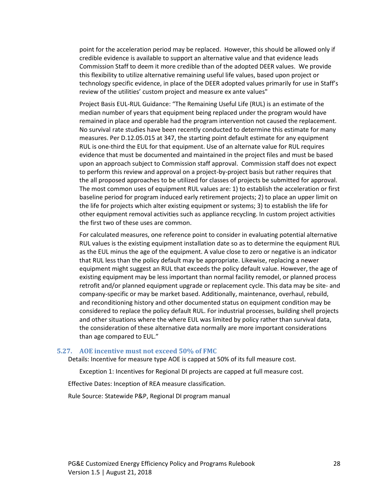point for the acceleration period may be replaced. However, this should be allowed only if credible evidence is available to support an alternative value and that evidence leads Commission Staff to deem it more credible than of the adopted DEER values. We provide this flexibility to utilize alternative remaining useful life values, based upon project or technology specific evidence, in place of the DEER adopted values primarily for use in Staff's review of the utilities' custom project and measure ex ante values"

Project Basis EUL-RUL Guidance: "The Remaining Useful Life (RUL) is an estimate of the median number of years that equipment being replaced under the program would have remained in place and operable had the program intervention not caused the replacement. No survival rate studies have been recently conducted to determine this estimate for many measures. Per D.12.05.015 at 347, the starting point default estimate for any equipment RUL is one-third the EUL for that equipment. Use of an alternate value for RUL requires evidence that must be documented and maintained in the project files and must be based upon an approach subject to Commission staff approval. Commission staff does not expect to perform this review and approval on a project-by-project basis but rather requires that the all proposed approaches to be utilized for classes of projects be submitted for approval. The most common uses of equipment RUL values are: 1) to establish the acceleration or first baseline period for program induced early retirement projects; 2) to place an upper limit on the life for projects which alter existing equipment or systems; 3) to establish the life for other equipment removal activities such as appliance recycling. In custom project activities the first two of these uses are common.

For calculated measures, one reference point to consider in evaluating potential alternative RUL values is the existing equipment installation date so as to determine the equipment RUL as the EUL minus the age of the equipment. A value close to zero or negative is an indicator that RUL less than the policy default may be appropriate. Likewise, replacing a newer equipment might suggest an RUL that exceeds the policy default value. However, the age of existing equipment may be less important than normal facility remodel, or planned process retrofit and/or planned equipment upgrade or replacement cycle. This data may be site- and company-specific or may be market based. Additionally, maintenance, overhaul, rebuild, and reconditioning history and other documented status on equipment condition may be considered to replace the policy default RUL. For industrial processes, building shell projects and other situations where the where EUL was limited by policy rather than survival data, the consideration of these alternative data normally are more important considerations than age compared to EUL."

#### <span id="page-28-0"></span>**5.27. AOE incentive must not exceed 50% of FMC**

Details: Incentive for measure type AOE is capped at 50% of its full measure cost.

Exception 1: Incentives for Regional DI projects are capped at full measure cost.

Effective Dates: Inception of REA measure classification.

Rule Source: Statewide P&P, Regional DI program manual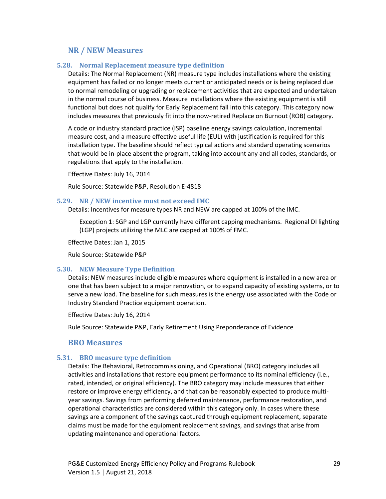#### **NR / NEW Measures**

#### <span id="page-29-1"></span><span id="page-29-0"></span>**5.28. Normal Replacement measure type definition**

Details: The Normal Replacement (NR) measure type includes installations where the existing equipment has failed or no longer meets current or anticipated needs or is being replaced due to normal remodeling or upgrading or replacement activities that are expected and undertaken in the normal course of business. Measure installations where the existing equipment is still functional but does not qualify for Early Replacement fall into this category. This category now includes measures that previously fit into the now-retired Replace on Burnout (ROB) category.

A code or industry standard practice (ISP) baseline energy savings calculation, incremental measure cost, and a measure effective useful life (EUL) with justification is required for this installation type. The baseline should reflect typical actions and standard operating scenarios that would be in-place absent the program, taking into account any and all codes, standards, or regulations that apply to the installation.

Effective Dates: July 16, 2014

Rule Source: Statewide P&P, Resolution E-4818

#### <span id="page-29-2"></span>**5.29. NR / NEW incentive must not exceed IMC**

Details: Incentives for measure types NR and NEW are capped at 100% of the IMC.

Exception 1: SGP and LGP currently have different capping mechanisms. Regional DI lighting (LGP) projects utilizing the MLC are capped at 100% of FMC.

Effective Dates: Jan 1, 2015

Rule Source: Statewide P&P

#### <span id="page-29-3"></span>**5.30. NEW Measure Type Definition**

Details: NEW measures include eligible measures where equipment is installed in a new area or one that has been subject to a major renovation, or to expand capacity of existing systems, or to serve a new load. The baseline for such measures is the energy use associated with the Code or Industry Standard Practice equipment operation.

Effective Dates: July 16, 2014

Rule Source: Statewide P&P, Early Retirement Using Preponderance of Evidence

#### **BRO Measures**

#### <span id="page-29-5"></span><span id="page-29-4"></span>**5.31. BRO measure type definition**

Details: The Behavioral, Retrocommissioning, and Operational (BRO) category includes all activities and installations that restore equipment performance to its nominal efficiency (i.e., rated, intended, or original efficiency). The BRO category may include measures that either restore or improve energy efficiency, and that can be reasonably expected to produce multiyear savings. Savings from performing deferred maintenance, performance restoration, and operational characteristics are considered within this category only. In cases where these savings are a component of the savings captured through equipment replacement, separate claims must be made for the equipment replacement savings, and savings that arise from updating maintenance and operational factors.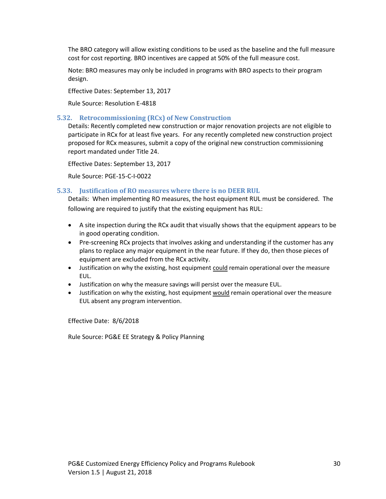The BRO category will allow existing conditions to be used as the baseline and the full measure cost for cost reporting. BRO incentives are capped at 50% of the full measure cost.

Note: BRO measures may only be included in programs with BRO aspects to their program design.

Effective Dates: September 13, 2017

Rule Source: Resolution E-4818

#### <span id="page-30-0"></span>**5.32. Retrocommissioning (RCx) of New Construction**

Details: Recently completed new construction or major renovation projects are not eligible to participate in RCx for at least five years. For any recently completed new construction project proposed for RCx measures, submit a copy of the original new construction commissioning report mandated under Title 24.

Effective Dates: September 13, 2017

Rule Source: PGE-15-C-I-0022

#### <span id="page-30-1"></span>**5.33. Justification of RO measures where there is no DEER RUL**

Details: When implementing RO measures, the host equipment RUL must be considered. The following are required to justify that the existing equipment has RUL:

- A site inspection during the RCx audit that visually shows that the equipment appears to be in good operating condition.
- Pre-screening RCx projects that involves asking and understanding if the customer has any plans to replace any major equipment in the near future. If they do, then those pieces of equipment are excluded from the RCx activity.
- Justification on why the existing, host equipment could remain operational over the measure EUL.
- Justification on why the measure savings will persist over the measure EUL.
- Justification on why the existing, host equipment would remain operational over the measure EUL absent any program intervention.

Effective Date: 8/6/2018

Rule Source: PG&E EE Strategy & Policy Planning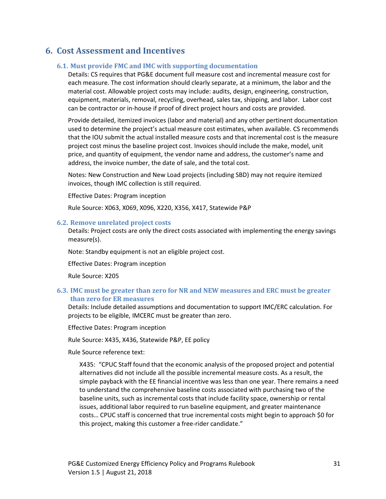## <span id="page-31-1"></span><span id="page-31-0"></span>**6. Cost Assessment and Incentives**

#### **6.1. Must provide FMC and IMC with supporting documentation**

Details: CS requires that PG&E document full measure cost and incremental measure cost for each measure. The cost information should clearly separate, at a minimum, the labor and the material cost. Allowable project costs may include: audits, design, engineering, construction, equipment, materials, removal, recycling, overhead, sales tax, shipping, and labor. Labor cost can be contractor or in-house if proof of direct project hours and costs are provided.

Provide detailed, itemized invoices (labor and material) and any other pertinent documentation used to determine the project's actual measure cost estimates, when available. CS recommends that the IOU submit the actual installed measure costs and that incremental cost is the measure project cost minus the baseline project cost. Invoices should include the make, model, unit price, and quantity of equipment, the vendor name and address, the customer's name and address, the invoice number, the date of sale, and the total cost.

Notes: New Construction and New Load projects (including SBD) may not require itemized invoices, though IMC collection is still required.

Effective Dates: Program inception

Rule Source: X063, X069, X096, X220, X356, X417, Statewide P&P

#### <span id="page-31-2"></span>**6.2. Remove unrelated project costs**

Details: Project costs are only the direct costs associated with implementing the energy savings measure(s).

Note: Standby equipment is not an eligible project cost.

Effective Dates: Program inception

Rule Source: X205

#### <span id="page-31-3"></span>**6.3. IMC must be greater than zero for NR and NEW measures and ERC must be greater than zero for ER measures**

Details: Include detailed assumptions and documentation to support IMC/ERC calculation. For projects to be eligible, IMCERC must be greater than zero.

Effective Dates: Program inception

Rule Source: X435, X436, Statewide P&P, EE policy

Rule Source reference text:

X435: "CPUC Staff found that the economic analysis of the proposed project and potential alternatives did not include all the possible incremental measure costs. As a result, the simple payback with the EE financial incentive was less than one year. There remains a need to understand the comprehensive baseline costs associated with purchasing two of the baseline units, such as incremental costs that include facility space, ownership or rental issues, additional labor required to run baseline equipment, and greater maintenance costs… CPUC staff is concerned that true incremental costs might begin to approach \$0 for this project, making this customer a free-rider candidate."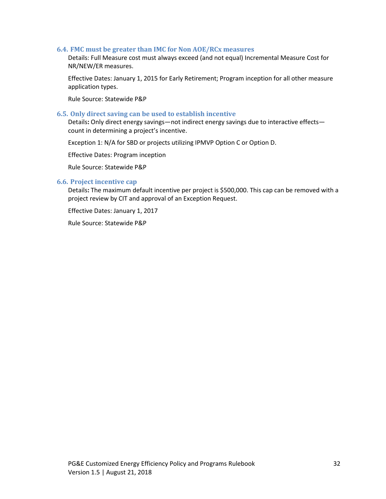#### <span id="page-32-0"></span>**6.4. FMC must be greater than IMC for Non AOE/RCx measures**

Details: Full Measure cost must always exceed (and not equal) Incremental Measure Cost for NR/NEW/ER measures.

Effective Dates: January 1, 2015 for Early Retirement; Program inception for all other measure application types.

Rule Source: Statewide P&P

#### <span id="page-32-1"></span>**6.5. Only direct saving can be used to establish incentive**

Details**:** Only direct energy savings—not indirect energy savings due to interactive effects count in determining a project's incentive.

Exception 1: N/A for SBD or projects utilizing IPMVP Option C or Option D.

Effective Dates: Program inception

Rule Source: Statewide P&P

#### <span id="page-32-2"></span>**6.6. Project incentive cap**

Details**:** The maximum default incentive per project is \$500,000. This cap can be removed with a project review by CIT and approval of an Exception Request.

Effective Dates: January 1, 2017

Rule Source: Statewide P&P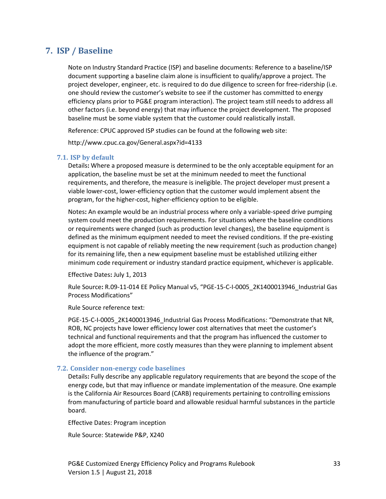## <span id="page-33-0"></span>**7. ISP / Baseline**

Note on Industry Standard Practice (ISP) and baseline documents: Reference to a baseline/ISP document supporting a baseline claim alone is insufficient to qualify/approve a project. The project developer, engineer, etc. is required to do due diligence to screen for free-ridership (i.e. one should review the customer's website to see if the customer has committed to energy efficiency plans prior to PG&E program interaction). The project team still needs to address all other factors (i.e. beyond energy) that may influence the project development. The proposed baseline must be some viable system that the customer could realistically install.

Reference: CPUC approved ISP studies can be found at the following web site:

http://www.cpuc.ca.gov/General.aspx?id=4133

#### <span id="page-33-1"></span>**7.1. ISP by default**

Details**:** Where a proposed measure is determined to be the only acceptable equipment for an application, the baseline must be set at the minimum needed to meet the functional requirements, and therefore, the measure is ineligible. The project developer must present a viable lower-cost, lower-efficiency option that the customer would implement absent the program, for the higher-cost, higher-efficiency option to be eligible.

Notes**:** An example would be an industrial process where only a variable-speed drive pumping system could meet the production requirements. For situations where the baseline conditions or requirements were changed (such as production level changes), the baseline equipment is defined as the minimum equipment needed to meet the revised conditions. If the pre-existing equipment is not capable of reliably meeting the new requirement (such as production change) for its remaining life, then a new equipment baseline must be established utilizing either minimum code requirement or industry standard practice equipment, whichever is applicable.

Effective Dates**:** July 1, 2013

Rule Source**:** R.09-11-014 EE Policy Manual v5, "PGE-15-C-I-0005\_2K1400013946\_Industrial Gas Process Modifications"

Rule Source reference text:

PGE-15-C-I-0005 2K1400013946 Industrial Gas Process Modifications: "Demonstrate that NR, ROB, NC projects have lower efficiency lower cost alternatives that meet the customer's technical and functional requirements and that the program has influenced the customer to adopt the more efficient, more costly measures than they were planning to implement absent the influence of the program."

#### <span id="page-33-2"></span>**7.2. Consider non-energy code baselines**

Details**:** Fully describe any applicable regulatory requirements that are beyond the scope of the energy code, but that may influence or mandate implementation of the measure. One example is the California Air Resources Board (CARB) requirements pertaining to controlling emissions from manufacturing of particle board and allowable residual harmful substances in the particle board.

Effective Dates: Program inception

Rule Source: Statewide P&P, X240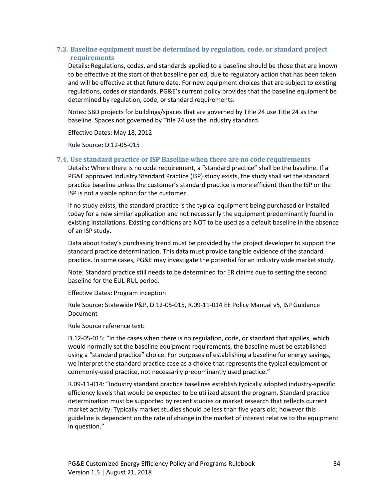#### <span id="page-34-0"></span>**7.3. Baseline equipment must be determined by regulation, code, or standard project requirements**

Details**:** Regulations, codes, and standards applied to a baseline should be those that are known to be effective at the start of that baseline period, due to regulatory action that has been taken and will be effective at that future date. For new equipment choices that are subject to existing regulations, codes or standards, PG&E's current policy provides that the baseline equipment be determined by regulation, code, or standard requirements.

Notes: SBD projects for buildings/spaces that are governed by Title 24 use Title 24 as the baseline. Spaces not governed by Title 24 use the industry standard.

Effective Dates**:** May 18, 2012

Rule Source**:** D.12-05-015

#### <span id="page-34-1"></span>**7.4. Use standard practice or ISP Baseline when there are no code requirements**

Details**:** Where there is no code requirement, a "standard practice" shall be the baseline. If a PG&E approved Industry Standard Practice (ISP) study exists, the study shall set the standard practice baseline unless the customer's standard practice is more efficient than the ISP or the ISP is not a viable option for the customer.

If no study exists, the standard practice is the typical equipment being purchased or installed today for a new similar application and not necessarily the equipment predominantly found in existing installations. Existing conditions are NOT to be used as a default baseline in the absence of an ISP study.

Data about today's purchasing trend must be provided by the project developer to support the standard practice determination. This data must provide tangible evidence of the standard practice. In some cases, PG&E may investigate the potential for an industry wide market study.

Note: Standard practice still needs to be determined for ER claims due to setting the second baseline for the EUL-RUL period.

Effective Dates**:** Program inception

Rule Source**:** Statewide P&P, D.12-05-015, R.09-11-014 EE Policy Manual v5, ISP Guidance Document

Rule Source reference text:

D.12-05-015: "In the cases when there is no regulation, code, or standard that applies, which would normally set the baseline equipment requirements, the baseline must be established using a "standard practice" choice. For purposes of establishing a baseline for energy savings, we interpret the standard practice case as a choice that represents the typical equipment or commonly-used practice, not necessarily predominantly used practice."

R.09-11-014: "Industry standard practice baselines establish typically adopted industry-specific efficiency levels that would be expected to be utilized absent the program. Standard practice determination must be supported by recent studies or market research that reflects current market activity. Typically market studies should be less than five years old; however this guideline is dependent on the rate of change in the market of interest relative to the equipment in question."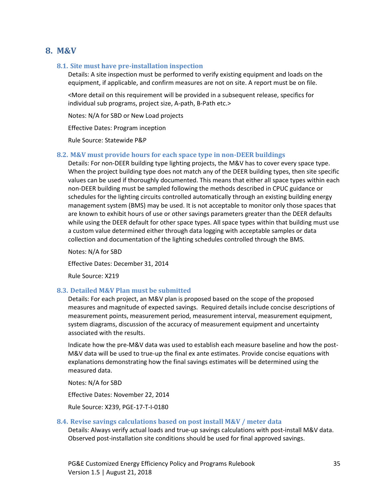#### <span id="page-35-1"></span><span id="page-35-0"></span>**8. M&V**

#### **8.1. Site must have pre-installation inspection**

Details: A site inspection must be performed to verify existing equipment and loads on the equipment, if applicable, and confirm measures are not on site. A report must be on file.

<More detail on this requirement will be provided in a subsequent release, specifics for individual sub programs, project size, A-path, B-Path etc.>

Notes: N/A for SBD or New Load projects

Effective Dates: Program inception

Rule Source: Statewide P&P

#### <span id="page-35-2"></span>**8.2. M&V must provide hours for each space type in non-DEER buildings**

Details: For non-DEER building type lighting projects, the M&V has to cover every space type. When the project building type does not match any of the DEER building types, then site specific values can be used if thoroughly documented. This means that either all space types within each non-DEER building must be sampled following the methods described in CPUC guidance or schedules for the lighting circuits controlled automatically through an existing building energy management system (BMS) may be used. It is not acceptable to monitor only those spaces that are known to exhibit hours of use or other savings parameters greater than the DEER defaults while using the DEER default for other space types. All space types within that building must use a custom value determined either through data logging with acceptable samples or data collection and documentation of the lighting schedules controlled through the BMS.

Notes: N/A for SBD

Effective Dates: December 31, 2014

Rule Source: X219

#### <span id="page-35-3"></span>**8.3. Detailed M&V Plan must be submitted**

Details: For each project, an M&V plan is proposed based on the scope of the proposed measures and magnitude of expected savings. Required details include concise descriptions of measurement points, measurement period, measurement interval, measurement equipment, system diagrams, discussion of the accuracy of measurement equipment and uncertainty associated with the results.

Indicate how the pre-M&V data was used to establish each measure baseline and how the post-M&V data will be used to true-up the final ex ante estimates. Provide concise equations with explanations demonstrating how the final savings estimates will be determined using the measured data.

Notes: N/A for SBD

Effective Dates: November 22, 2014

Rule Source: X239, PGE-17-T-I-0180

#### <span id="page-35-4"></span>**8.4. Revise savings calculations based on post install M&V / meter data**

Details: Always verify actual loads and true-up savings calculations with post-install M&V data. Observed post-installation site conditions should be used for final approved savings.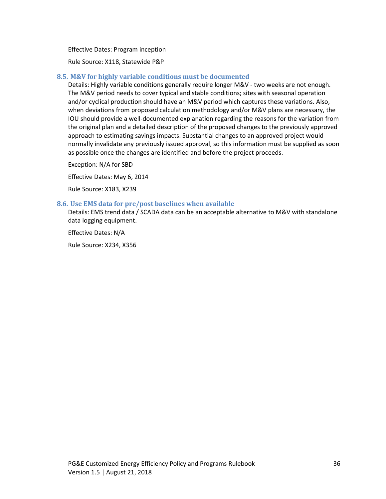Effective Dates: Program inception

Rule Source: X118, Statewide P&P

#### <span id="page-36-0"></span>**8.5. M&V for highly variable conditions must be documented**

Details: Highly variable conditions generally require longer M&V - two weeks are not enough. The M&V period needs to cover typical and stable conditions; sites with seasonal operation and/or cyclical production should have an M&V period which captures these variations. Also, when deviations from proposed calculation methodology and/or M&V plans are necessary, the IOU should provide a well-documented explanation regarding the reasons for the variation from the original plan and a detailed description of the proposed changes to the previously approved approach to estimating savings impacts. Substantial changes to an approved project would normally invalidate any previously issued approval, so this information must be supplied as soon as possible once the changes are identified and before the project proceeds.

Exception: N/A for SBD

Effective Dates: May 6, 2014

Rule Source: X183, X239

#### <span id="page-36-1"></span>**8.6. Use EMS data for pre/post baselines when available**

Details: EMS trend data / SCADA data can be an acceptable alternative to M&V with standalone data logging equipment.

Effective Dates: N/A

Rule Source: X234, X356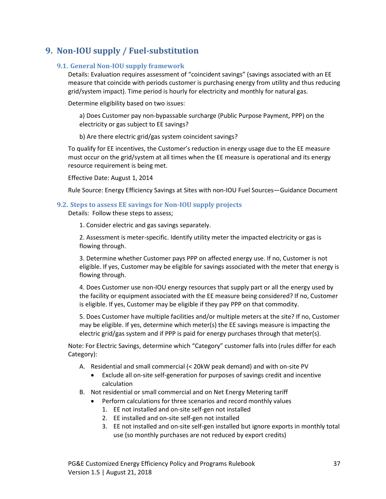## <span id="page-37-1"></span><span id="page-37-0"></span>**9. Non-IOU supply / Fuel-substitution**

#### **9.1. General Non-IOU supply framework**

Details: Evaluation requires assessment of "coincident savings" (savings associated with an EE measure that coincide with periods customer is purchasing energy from utility and thus reducing grid/system impact). Time period is hourly for electricity and monthly for natural gas.

Determine eligibility based on two issues:

a) Does Customer pay non-bypassable surcharge (Public Purpose Payment, PPP) on the electricity or gas subject to EE savings?

b) Are there electric grid/gas system coincident savings?

To qualify for EE incentives, the Customer's reduction in energy usage due to the EE measure must occur on the grid/system at all times when the EE measure is operational and its energy resource requirement is being met.

Effective Date: August 1, 2014

Rule Source: Energy Efficiency Savings at Sites with non-IOU Fuel Sources—Guidance Document

#### <span id="page-37-2"></span>**9.2. Steps to assess EE savings for Non-IOU supply projects**

Details: Follow these steps to assess;

1. Consider electric and gas savings separately.

2. Assessment is meter-specific. Identify utility meter the impacted electricity or gas is flowing through.

3. Determine whether Customer pays PPP on affected energy use. If no, Customer is not eligible. If yes, Customer may be eligible for savings associated with the meter that energy is flowing through.

4. Does Customer use non-IOU energy resources that supply part or all the energy used by the facility or equipment associated with the EE measure being considered? If no, Customer is eligible. If yes, Customer may be eligible if they pay PPP on that commodity.

5. Does Customer have multiple facilities and/or multiple meters at the site? If no, Customer may be eligible. If yes, determine which meter(s) the EE savings measure is impacting the electric grid/gas system and if PPP is paid for energy purchases through that meter(s).

Note: For Electric Savings, determine which "Category" customer falls into (rules differ for each Category):

- A. Residential and small commercial (< 20kW peak demand) and with on-site PV
	- Exclude all on-site self-generation for purposes of savings credit and incentive calculation
- B. Not residential or small commercial and on Net Energy Metering tariff
	- Perform calculations for three scenarios and record monthly values
		- 1. EE not installed and on-site self-gen not installed
		- 2. EE installed and on-site self-gen not installed
		- 3. EE not installed and on-site self-gen installed but ignore exports in monthly total use (so monthly purchases are not reduced by export credits)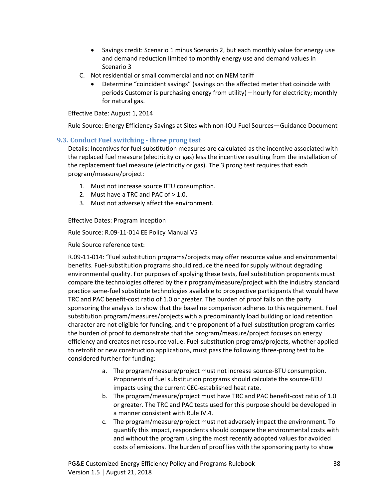- Savings credit: Scenario 1 minus Scenario 2, but each monthly value for energy use and demand reduction limited to monthly energy use and demand values in Scenario 3
- C. Not residential or small commercial and not on NEM tariff
	- Determine "coincident savings" (savings on the affected meter that coincide with periods Customer is purchasing energy from utility) – hourly for electricity; monthly for natural gas.

Effective Date: August 1, 2014

Rule Source: Energy Efficiency Savings at Sites with non-IOU Fuel Sources—Guidance Document

#### <span id="page-38-0"></span>**9.3. Conduct Fuel switching - three prong test**

Details: Incentives for fuel substitution measures are calculated as the incentive associated with the replaced fuel measure (electricity or gas) less the incentive resulting from the installation of the replacement fuel measure (electricity or gas). The 3 prong test requires that each program/measure/project:

- 1. Must not increase source BTU consumption.
- 2. Must have a TRC and PAC of  $> 1.0$ .
- 3. Must not adversely affect the environment.

Effective Dates: Program inception

Rule Source: R.09-11-014 EE Policy Manual V5

Rule Source reference text:

R.09-11-014: "Fuel substitution programs/projects may offer resource value and environmental benefits. Fuel-substitution programs should reduce the need for supply without degrading environmental quality. For purposes of applying these tests, fuel substitution proponents must compare the technologies offered by their program/measure/project with the industry standard practice same-fuel substitute technologies available to prospective participants that would have TRC and PAC benefit-cost ratio of 1.0 or greater. The burden of proof falls on the party sponsoring the analysis to show that the baseline comparison adheres to this requirement. Fuel substitution program/measures/projects with a predominantly load building or load retention character are not eligible for funding, and the proponent of a fuel-substitution program carries the burden of proof to demonstrate that the program/measure/project focuses on energy efficiency and creates net resource value. Fuel-substitution programs/projects, whether applied to retrofit or new construction applications, must pass the following three-prong test to be considered further for funding:

- a. The program/measure/project must not increase source-BTU consumption. Proponents of fuel substitution programs should calculate the source-BTU impacts using the current CEC-established heat rate.
- b. The program/measure/project must have TRC and PAC benefit-cost ratio of 1.0 or greater. The TRC and PAC tests used for this purpose should be developed in a manner consistent with Rule IV.4.
- c. The program/measure/project must not adversely impact the environment. To quantify this impact, respondents should compare the environmental costs with and without the program using the most recently adopted values for avoided costs of emissions. The burden of proof lies with the sponsoring party to show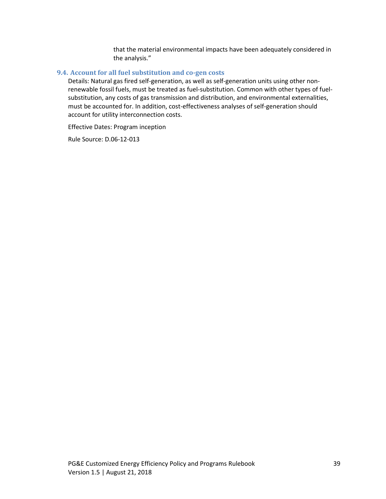that the material environmental impacts have been adequately considered in the analysis."

#### <span id="page-39-0"></span>**9.4. Account for all fuel substitution and co-gen costs**

Details: Natural gas fired self-generation, as well as self-generation units using other nonrenewable fossil fuels, must be treated as fuel-substitution. Common with other types of fuelsubstitution, any costs of gas transmission and distribution, and environmental externalities, must be accounted for. In addition, cost-effectiveness analyses of self-generation should account for utility interconnection costs.

Effective Dates: Program inception

Rule Source: D.06-12-013